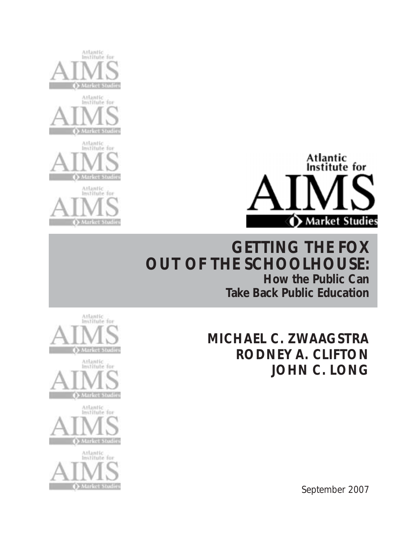



## **GETTING THE FOX OUT OF THE SCHOOLHOUSE: How the Public Can Take Back Public Education**











September 2007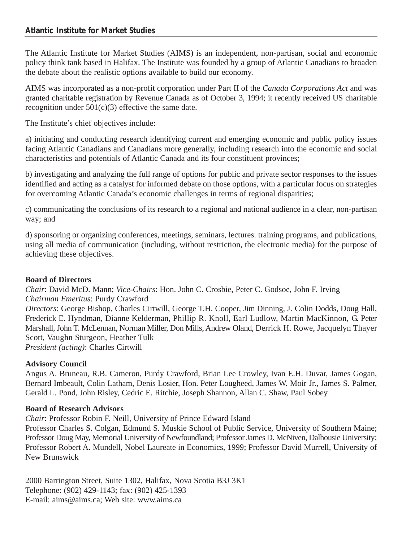The Atlantic Institute for Market Studies (AIMS) is an independent, non-partisan, social and economic policy think tank based in Halifax. The Institute was founded by a group of Atlantic Canadians to broaden the debate about the realistic options available to build our economy.

AIMS was incorporated as a non-profit corporation under Part II of the *Canada Corporations Act* and was granted charitable registration by Revenue Canada as of October 3, 1994; it recently received US charitable recognition under  $501(c)(3)$  effective the same date.

The Institute's chief objectives include:

a) initiating and conducting research identifying current and emerging economic and public policy issues facing Atlantic Canadians and Canadians more generally, including research into the economic and social characteristics and potentials of Atlantic Canada and its four constituent provinces;

b) investigating and analyzing the full range of options for public and private sector responses to the issues identified and acting as a catalyst for informed debate on those options, with a particular focus on strategies for overcoming Atlantic Canada's economic challenges in terms of regional disparities;

c) communicating the conclusions of its research to a regional and national audience in a clear, non-partisan way; and

d) sponsoring or organizing conferences, meetings, seminars, lectures. training programs, and publications, using all media of communication (including, without restriction, the electronic media) for the purpose of achieving these objectives.

#### **Board of Directors**

*Chair*: David McD. Mann; *Vice-Chairs*: Hon. John C. Crosbie, Peter C. Godsoe, John F. Irving *Chairman Emeritus*: Purdy Crawford *Directors*: George Bishop, Charles Cirtwill, George T.H. Cooper, Jim Dinning, J. Colin Dodds, Doug Hall, Frederick E. Hyndman, Dianne Kelderman, Phillip R. Knoll, Earl Ludlow, Martin MacKinnon, G. Peter Marshall, John T. McLennan, Norman Miller, Don Mills, Andrew Oland, Derrick H. Rowe, Jacquelyn Thayer Scott, Vaughn Sturgeon, Heather Tulk *President (acting)*: Charles Cirtwill

#### **Advisory Council**

Angus A. Bruneau, R.B. Cameron, Purdy Crawford, Brian Lee Crowley, Ivan E.H. Duvar, James Gogan, Bernard Imbeault, Colin Latham, Denis Losier, Hon. Peter Lougheed, James W. Moir Jr., James S. Palmer, Gerald L. Pond, John Risley, Cedric E. Ritchie, Joseph Shannon, Allan C. Shaw, Paul Sobey

#### **Board of Research Advisors**

*Chair*: Professor Robin F. Neill, University of Prince Edward Island

Professor Charles S. Colgan, Edmund S. Muskie School of Public Service, University of Southern Maine; Professor Doug May, Memorial University of Newfoundland; Professor James D. McNiven, Dalhousie University; Professor Robert A. Mundell, Nobel Laureate in Economics, 1999; Professor David Murrell, University of New Brunswick

2000 Barrington Street, Suite 1302, Halifax, Nova Scotia B3J 3K1 Telephone: (902) 429-1143; fax: (902) 425-1393 E-mail: aims@aims.ca; Web site: www.aims.ca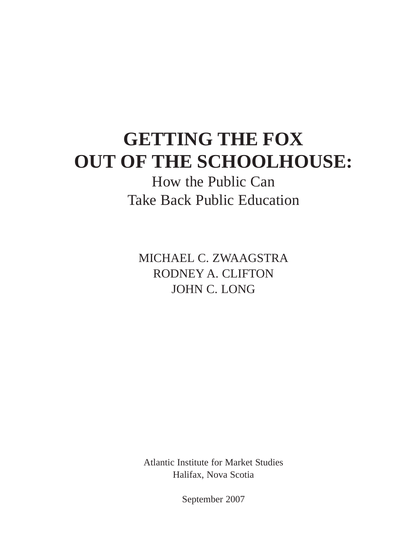## **GETTING THE FOX OUT OF THE SCHOOLHOUSE:**

How the Public Can Take Back Public Education

MICHAEL C. ZWAAGSTRA RODNEY A. CLIFTON JOHN C. LONG

Atlantic Institute for Market Studies Halifax, Nova Scotia

September 2007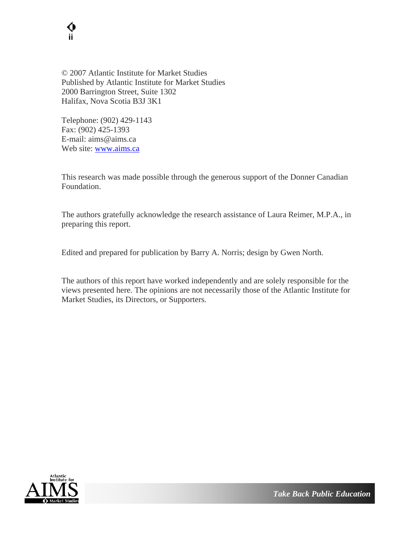

© 2007 Atlantic Institute for Market Studies Published by Atlantic Institute for Market Studies 2000 Barrington Street, Suite 1302 Halifax, Nova Scotia B3J 3K1

Telephone: (902) 429-1143 Fax: (902) 425-1393 E-mail: aims@aims.ca Web site: [www.aims.ca](http://www.aims.ca/)

This research was made possible through the generous support of the Donner Canadian Foundation.

The authors gratefully acknowledge the research assistance of Laura Reimer, M.P.A., in preparing this report.

Edited and prepared for publication by Barry A. Norris; design by Gwen North.

The authors of this report have worked independently and are solely responsible for the views presented here. The opinions are not necessarily those of the Atlantic Institute for Market Studies, its Directors, or Supporters.

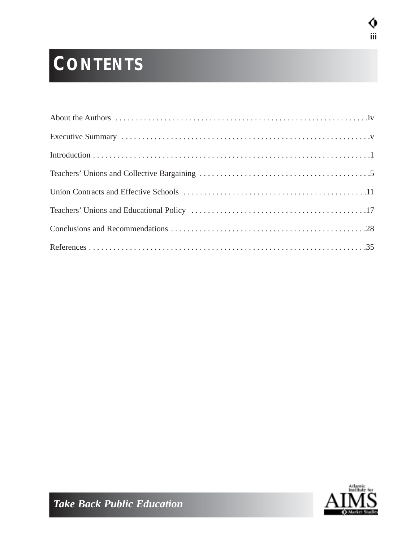# **CONTENTS**



**iii**

Ø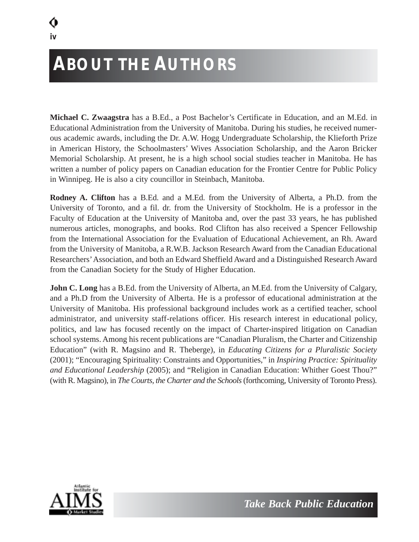# **ABOUT THE AUTHORS**

**Michael C. Zwaagstra** has a B.Ed., a Post Bachelor's Certificate in Education, and an M.Ed. in Educational Administration from the University of Manitoba. During his studies, he received numerous academic awards, including the Dr. A.W. Hogg Undergraduate Scholarship, the Klieforth Prize in American History, the Schoolmasters' Wives Association Scholarship, and the Aaron Bricker Memorial Scholarship. At present, he is a high school social studies teacher in Manitoba. He has written a number of policy papers on Canadian education for the Frontier Centre for Public Policy in Winnipeg. He is also a city councillor in Steinbach, Manitoba.

**Rodney A. Clifton** has a B.Ed. and a M.Ed. from the University of Alberta, a Ph.D. from the University of Toronto, and a fil. dr. from the University of Stockholm. He is a professor in the Faculty of Education at the University of Manitoba and, over the past 33 years, he has published numerous articles, monographs, and books. Rod Clifton has also received a Spencer Fellowship from the International Association for the Evaluation of Educational Achievement, an Rh. Award from the University of Manitoba, a R.W.B. Jackson Research Award from the Canadian Educational Researchers'Association, and both an Edward Sheffield Award and a Distinguished Research Award from the Canadian Society for the Study of Higher Education.

**John C. Long** has a B.Ed. from the University of Alberta, an M.Ed. from the University of Calgary, and a Ph.D from the University of Alberta. He is a professor of educational administration at the University of Manitoba. His professional background includes work as a certified teacher, school administrator, and university staff-relations officer. His research interest in educational policy, politics, and law has focused recently on the impact of Charter-inspired litigation on Canadian school systems. Among his recent publications are "Canadian Pluralism, the Charter and Citizenship Education" (with R. Magsino and R. Theberge), in *Educating Citizens for a Pluralistic Society* (2001); "Encouraging Spirituality: Constraints and Opportunities," in *Inspiring Practice: Spirituality and Educational Leadership* (2005); and "Religion in Canadian Education: Whither Goest Thou?" (with R. Magsino), in *The Courts, the Charter and the Schools* (forthcoming, University of Toronto Press).

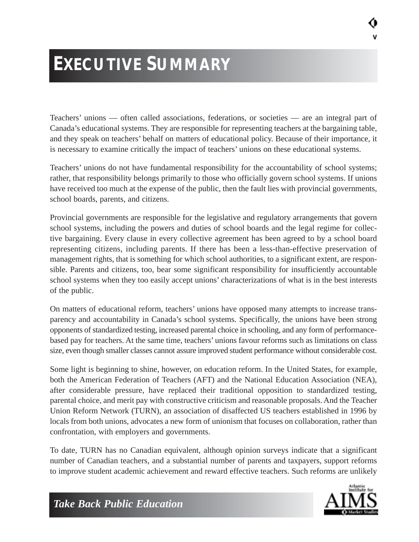# **EXECUTIVE SUMMARY**

Teachers' unions — often called associations, federations, or societies — are an integral part of Canada's educational systems. They are responsible for representing teachers at the bargaining table, and they speak on teachers' behalf on matters of educational policy. Because of their importance, it is necessary to examine critically the impact of teachers' unions on these educational systems.

Teachers' unions do not have fundamental responsibility for the accountability of school systems; rather, that responsibility belongs primarily to those who officially govern school systems. If unions have received too much at the expense of the public, then the fault lies with provincial governments, school boards, parents, and citizens.

Provincial governments are responsible for the legislative and regulatory arrangements that govern school systems, including the powers and duties of school boards and the legal regime for collective bargaining. Every clause in every collective agreement has been agreed to by a school board representing citizens, including parents. If there has been a less-than-effective preservation of management rights, that is something for which school authorities, to a significant extent, are responsible. Parents and citizens, too, bear some significant responsibility for insufficiently accountable school systems when they too easily accept unions' characterizations of what is in the best interests of the public.

On matters of educational reform, teachers' unions have opposed many attempts to increase transparency and accountability in Canada's school systems. Specifically, the unions have been strong opponents of standardized testing, increased parental choice in schooling, and any form of performancebased pay for teachers. At the same time, teachers' unions favour reforms such as limitations on class size, even though smaller classes cannot assure improved student performance without considerable cost.

Some light is beginning to shine, however, on education reform. In the United States, for example, both the American Federation of Teachers (AFT) and the National Education Association (NEA), after considerable pressure, have replaced their traditional opposition to standardized testing, parental choice, and merit pay with constructive criticism and reasonable proposals. And the Teacher Union Reform Network (TURN), an association of disaffected US teachers established in 1996 by locals from both unions, advocates a new form of unionism that focuses on collaboration, rather than confrontation, with employers and governments.

To date, TURN has no Canadian equivalent, although opinion surveys indicate that a significant number of Canadian teachers, and a substantial number of parents and taxpayers, support reforms to improve student academic achievement and reward effective teachers. Such reforms are unlikely



**v**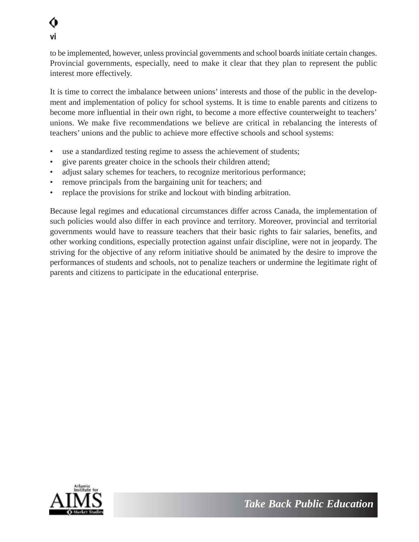

to be implemented, however, unless provincial governments and school boards initiate certain changes. Provincial governments, especially, need to make it clear that they plan to represent the public interest more effectively.

It is time to correct the imbalance between unions' interests and those of the public in the development and implementation of policy for school systems. It is time to enable parents and citizens to become more influential in their own right, to become a more effective counterweight to teachers' unions. We make five recommendations we believe are critical in rebalancing the interests of teachers' unions and the public to achieve more effective schools and school systems:

- use a standardized testing regime to assess the achievement of students;
- give parents greater choice in the schools their children attend;
- adjust salary schemes for teachers, to recognize meritorious performance;
- remove principals from the bargaining unit for teachers; and
- replace the provisions for strike and lockout with binding arbitration.

Because legal regimes and educational circumstances differ across Canada, the implementation of such policies would also differ in each province and territory. Moreover, provincial and territorial governments would have to reassure teachers that their basic rights to fair salaries, benefits, and other working conditions, especially protection against unfair discipline, were not in jeopardy. The striving for the objective of any reform initiative should be animated by the desire to improve the performances of students and schools, not to penalize teachers or undermine the legitimate right of parents and citizens to participate in the educational enterprise.

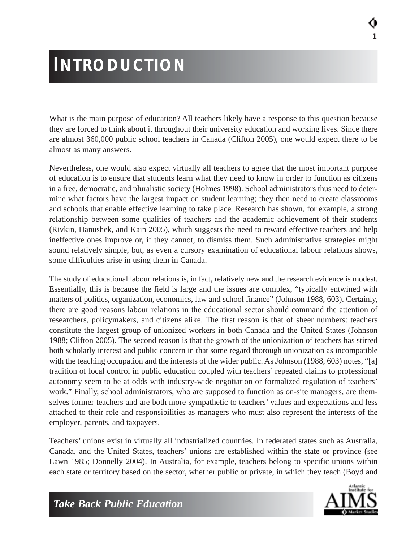# **INTRODUCTION**

What is the main purpose of education? All teachers likely have a response to this question because they are forced to think about it throughout their university education and working lives. Since there are almost 360,000 public school teachers in Canada (Clifton 2005), one would expect there to be almost as many answers.

Nevertheless, one would also expect virtually all teachers to agree that the most important purpose of education is to ensure that students learn what they need to know in order to function as citizens in a free, democratic, and pluralistic society (Holmes 1998). School administrators thus need to determine what factors have the largest impact on student learning; they then need to create classrooms and schools that enable effective learning to take place. Research has shown, for example, a strong relationship between some qualities of teachers and the academic achievement of their students (Rivkin, Hanushek, and Kain 2005), which suggests the need to reward effective teachers and help ineffective ones improve or, if they cannot, to dismiss them. Such administrative strategies might sound relatively simple, but, as even a cursory examination of educational labour relations shows, some difficulties arise in using them in Canada.

The study of educational labour relations is, in fact, relatively new and the research evidence is modest. Essentially, this is because the field is large and the issues are complex, "typically entwined with matters of politics, organization, economics, law and school finance" (Johnson 1988, 603). Certainly, there are good reasons labour relations in the educational sector should command the attention of researchers, policymakers, and citizens alike. The first reason is that of sheer numbers: teachers constitute the largest group of unionized workers in both Canada and the United States (Johnson 1988; Clifton 2005). The second reason is that the growth of the unionization of teachers has stirred both scholarly interest and public concern in that some regard thorough unionization as incompatible with the teaching occupation and the interests of the wider public. As Johnson (1988, 603) notes, "[a] tradition of local control in public education coupled with teachers' repeated claims to professional autonomy seem to be at odds with industry-wide negotiation or formalized regulation of teachers' work." Finally, school administrators, who are supposed to function as on-site managers, are themselves former teachers and are both more sympathetic to teachers' values and expectations and less attached to their role and responsibilities as managers who must also represent the interests of the employer, parents, and taxpayers.

Teachers' unions exist in virtually all industrialized countries. In federated states such as Australia, Canada, and the United States, teachers' unions are established within the state or province (see Lawn 1985; Donnelly 2004). In Australia, for example, teachers belong to specific unions within each state or territory based on the sector, whether public or private, in which they teach (Boyd and



**1**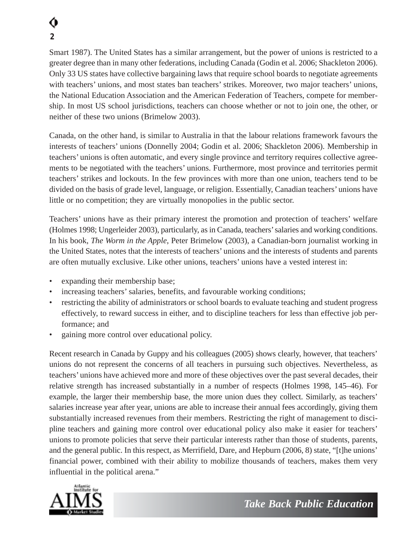# **2**

Smart 1987). The United States has a similar arrangement, but the power of unions is restricted to a greater degree than in many other federations, including Canada (Godin et al. 2006; Shackleton 2006). Only 33 US states have collective bargaining laws that require school boards to negotiate agreements with teachers' unions, and most states ban teachers' strikes. Moreover, two major teachers' unions, the National Education Association and the American Federation of Teachers, compete for membership. In most US school jurisdictions, teachers can choose whether or not to join one, the other, or neither of these two unions (Brimelow 2003).

Canada, on the other hand, is similar to Australia in that the labour relations framework favours the interests of teachers' unions (Donnelly 2004; Godin et al. 2006; Shackleton 2006). Membership in teachers' unions is often automatic, and every single province and territory requires collective agreements to be negotiated with the teachers' unions. Furthermore, most province and territories permit teachers' strikes and lockouts. In the few provinces with more than one union, teachers tend to be divided on the basis of grade level, language, or religion. Essentially, Canadian teachers' unions have little or no competition; they are virtually monopolies in the public sector.

Teachers' unions have as their primary interest the promotion and protection of teachers' welfare (Holmes 1998; Ungerleider 2003), particularly, as in Canada, teachers'salaries and working conditions. In his book, *The Worm in the Apple*, Peter Brimelow (2003), a Canadian-born journalist working in the United States, notes that the interests of teachers' unions and the interests of students and parents are often mutually exclusive. Like other unions, teachers' unions have a vested interest in:

- expanding their membership base;
- increasing teachers' salaries, benefits, and favourable working conditions;
- restricting the ability of administrators or school boards to evaluate teaching and student progress effectively, to reward success in either, and to discipline teachers for less than effective job performance; and
- gaining more control over educational policy.

Recent research in Canada by Guppy and his colleagues (2005) shows clearly, however, that teachers' unions do not represent the concerns of all teachers in pursuing such objectives. Nevertheless, as teachers' unions have achieved more and more of these objectives over the past several decades, their relative strength has increased substantially in a number of respects (Holmes 1998, 145–46). For example, the larger their membership base, the more union dues they collect. Similarly, as teachers' salaries increase year after year, unions are able to increase their annual fees accordingly, giving them substantially increased revenues from their members. Restricting the right of management to discipline teachers and gaining more control over educational policy also make it easier for teachers' unions to promote policies that serve their particular interests rather than those of students, parents, and the general public. In this respect, as Merrifield, Dare, and Hepburn (2006, 8) state, "[t]he unions' financial power, combined with their ability to mobilize thousands of teachers, makes them very influential in the political arena."

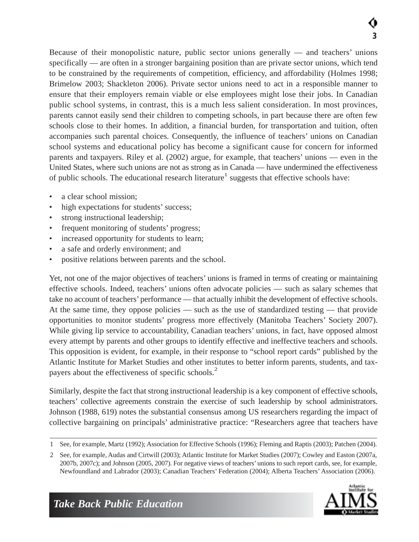Because of their monopolistic nature, public sector unions generally — and teachers' unions specifically — are often in a stronger bargaining position than are private sector unions, which tend to be constrained by the requirements of competition, efficiency, and affordability (Holmes 1998; Brimelow 2003; Shackleton 2006). Private sector unions need to act in a responsible manner to ensure that their employers remain viable or else employees might lose their jobs. In Canadian public school systems, in contrast, this is a much less salient consideration. In most provinces, parents cannot easily send their children to competing schools, in part because there are often few schools close to their homes. In addition, a financial burden, for transportation and tuition, often accompanies such parental choices. Consequently, the influence of teachers' unions on Canadian school systems and educational policy has become a significant cause for concern for informed parents and taxpayers. Riley et al. (2002) argue, for example, that teachers' unions — even in the United States, where such unions are not as strong as in Canada — have undermined the effectiveness of public schools. The educational research literature<sup>1</sup> suggests that effective schools have:

- a clear school mission:
- high expectations for students' success;
- strong instructional leadership;
- frequent monitoring of students' progress;
- increased opportunity for students to learn;
- a safe and orderly environment; and
- positive relations between parents and the school.

Yet, not one of the major objectives of teachers' unions is framed in terms of creating or maintaining effective schools. Indeed, teachers' unions often advocate policies — such as salary schemes that take no account of teachers' performance — that actually inhibit the development of effective schools. At the same time, they oppose policies — such as the use of standardized testing — that provide opportunities to monitor students' progress more effectively (Manitoba Teachers' Society 2007). While giving lip service to accountability, Canadian teachers' unions, in fact, have opposed almost every attempt by parents and other groups to identify effective and ineffective teachers and schools. This opposition is evident, for example, in their response to "school report cards" published by the Atlantic Institute for Market Studies and other institutes to better inform parents, students, and taxpayers about the effectiveness of specific schools.<sup>2</sup>

Similarly, despite the fact that strong instructional leadership is a key component of effective schools, teachers' collective agreements constrain the exercise of such leadership by school administrators. Johnson (1988, 619) notes the substantial consensus among US researchers regarding the impact of collective bargaining on principals' administrative practice: "Researchers agree that teachers have

<sup>2</sup> See, for example, Audas and Cirtwill (2003); Atlantic Institute for Market Studies (2007); Cowley and Easton (2007a, 2007b, 2007c); and Johnson (2005, 2007). For negative views of teachers' unions to such report cards, see, for example, Newfoundland and Labrador (2003); Canadian Teachers' Federation (2004); Alberta Teachers' Association (2006).



<sup>1</sup> See, for example, Martz (1992); Association for Effective Schools (1996); Fleming and Raptis (2003); Patchen (2004).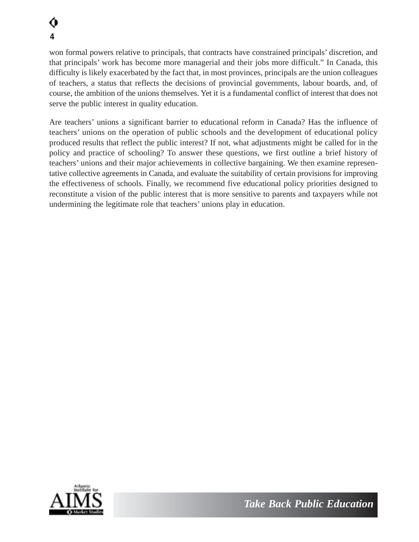won formal powers relative to principals, that contracts have constrained principals' discretion, and that principals' work has become more managerial and their jobs more difficult." In Canada, this difficulty is likely exacerbated by the fact that, in most provinces, principals are the union colleagues of teachers, a status that reflects the decisions of provincial governments, labour boards, and, of course, the ambition of the unions themselves. Yet it is a fundamental conflict of interest that does not serve the public interest in quality education.

Are teachers' unions a significant barrier to educational reform in Canada? Has the influence of teachers' unions on the operation of public schools and the development of educational policy produced results that reflect the public interest? If not, what adjustments might be called for in the policy and practice of schooling? To answer these questions, we first outline a brief history of teachers' unions and their major achievements in collective bargaining. We then examine representative collective agreements in Canada, and evaluate the suitability of certain provisions for improving the effectiveness of schools. Finally, we recommend five educational policy priorities designed to reconstitute a vision of the public interest that is more sensitive to parents and taxpayers while not undermining the legitimate role that teachers' unions play in education.

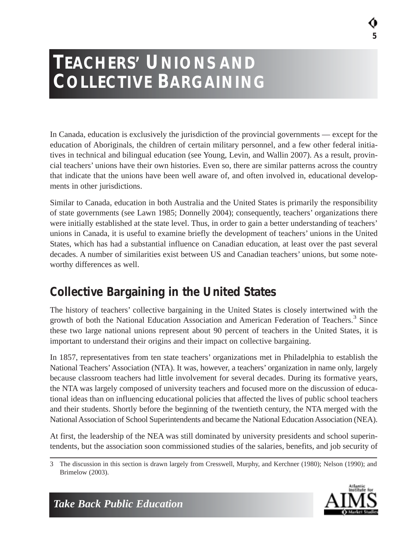## **TEACHERS' UNIONS AND COLLECTIVE BARGAINING**

In Canada, education is exclusively the jurisdiction of the provincial governments — except for the education of Aboriginals, the children of certain military personnel, and a few other federal initiatives in technical and bilingual education (see Young, Levin, and Wallin 2007). As a result, provincial teachers' unions have their own histories. Even so, there are similar patterns across the country that indicate that the unions have been well aware of, and often involved in, educational developments in other jurisdictions.

Similar to Canada, education in both Australia and the United States is primarily the responsibility of state governments (see Lawn 1985; Donnelly 2004); consequently, teachers' organizations there were initially established at the state level. Thus, in order to gain a better understanding of teachers' unions in Canada, it is useful to examine briefly the development of teachers' unions in the United States, which has had a substantial influence on Canadian education, at least over the past several decades. A number of similarities exist between US and Canadian teachers' unions, but some noteworthy differences as well.

### *Collective Bargaining in the United States*

The history of teachers' collective bargaining in the United States is closely intertwined with the growth of both the National Education Association and American Federation of Teachers.<sup>3</sup> Since these two large national unions represent about 90 percent of teachers in the United States, it is important to understand their origins and their impact on collective bargaining.

In 1857, representatives from ten state teachers' organizations met in Philadelphia to establish the National Teachers'Association (NTA). It was, however, a teachers' organization in name only, largely because classroom teachers had little involvement for several decades. During its formative years, the NTA was largely composed of university teachers and focused more on the discussion of educational ideas than on influencing educational policies that affected the lives of public school teachers and their students. Shortly before the beginning of the twentieth century, the NTA merged with the National Association of School Superintendents and became the National Education Association (NEA).

At first, the leadership of the NEA was still dominated by university presidents and school superintendents, but the association soon commissioned studies of the salaries, benefits, and job security of

<sup>3</sup> The discussion in this section is drawn largely from Cresswell, Murphy, and Kerchner (1980); Nelson (1990); and Brimelow (2003).



**5**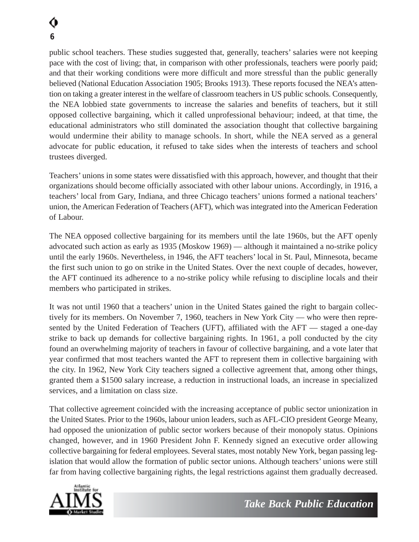public school teachers. These studies suggested that, generally, teachers' salaries were not keeping pace with the cost of living; that, in comparison with other professionals, teachers were poorly paid; and that their working conditions were more difficult and more stressful than the public generally believed (National Education Association 1905; Brooks 1913). These reports focused the NEA's attention on taking a greater interest in the welfare of classroom teachers in US public schools. Consequently, the NEA lobbied state governments to increase the salaries and benefits of teachers, but it still opposed collective bargaining, which it called unprofessional behaviour; indeed, at that time, the educational administrators who still dominated the association thought that collective bargaining would undermine their ability to manage schools. In short, while the NEA served as a general advocate for public education, it refused to take sides when the interests of teachers and school trustees diverged.

Teachers' unions in some states were dissatisfied with this approach, however, and thought that their organizations should become officially associated with other labour unions. Accordingly, in 1916, a teachers' local from Gary, Indiana, and three Chicago teachers' unions formed a national teachers' union, the American Federation of Teachers (AFT), which was integrated into the American Federation of Labour.

The NEA opposed collective bargaining for its members until the late 1960s, but the AFT openly advocated such action as early as 1935 (Moskow 1969) — although it maintained a no-strike policy until the early 1960s. Nevertheless, in 1946, the AFT teachers' local in St. Paul, Minnesota, became the first such union to go on strike in the United States. Over the next couple of decades, however, the AFT continued its adherence to a no-strike policy while refusing to discipline locals and their members who participated in strikes.

It was not until 1960 that a teachers' union in the United States gained the right to bargain collectively for its members. On November 7, 1960, teachers in New York City — who were then represented by the United Federation of Teachers (UFT), affiliated with the AFT — staged a one-day strike to back up demands for collective bargaining rights. In 1961, a poll conducted by the city found an overwhelming majority of teachers in favour of collective bargaining, and a vote later that year confirmed that most teachers wanted the AFT to represent them in collective bargaining with the city. In 1962, New York City teachers signed a collective agreement that, among other things, granted them a \$1500 salary increase, a reduction in instructional loads, an increase in specialized services, and a limitation on class size.

That collective agreement coincided with the increasing acceptance of public sector unionization in the United States. Prior to the 1960s, labour union leaders, such as AFL-CIO president George Meany, had opposed the unionization of public sector workers because of their monopoly status. Opinions changed, however, and in 1960 President John F. Kennedy signed an executive order allowing collective bargaining for federal employees. Several states, most notably New York, began passing legislation that would allow the formation of public sector unions. Although teachers' unions were still far from having collective bargaining rights, the legal restrictions against them gradually decreased.

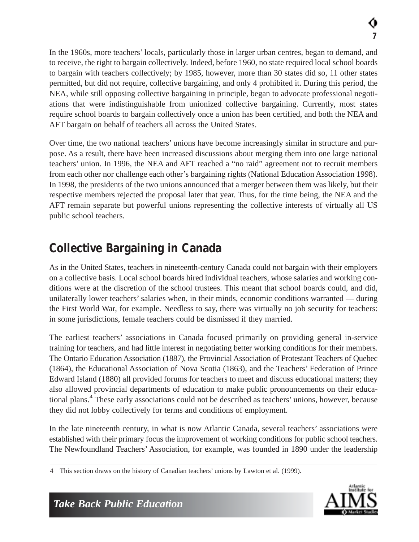In the 1960s, more teachers' locals, particularly those in larger urban centres, began to demand, and to receive, the right to bargain collectively. Indeed, before 1960, no state required local school boards to bargain with teachers collectively; by 1985, however, more than 30 states did so, 11 other states permitted, but did not require, collective bargaining, and only 4 prohibited it. During this period, the NEA, while still opposing collective bargaining in principle, began to advocate professional negotiations that were indistinguishable from unionized collective bargaining. Currently, most states require school boards to bargain collectively once a union has been certified, and both the NEA and AFT bargain on behalf of teachers all across the United States.

Over time, the two national teachers' unions have become increasingly similar in structure and purpose. As a result, there have been increased discussions about merging them into one large national teachers' union. In 1996, the NEA and AFT reached a "no raid" agreement not to recruit members from each other nor challenge each other's bargaining rights (National Education Association 1998). In 1998, the presidents of the two unions announced that a merger between them was likely, but their respective members rejected the proposal later that year. Thus, for the time being, the NEA and the AFT remain separate but powerful unions representing the collective interests of virtually all US public school teachers.

### *Collective Bargaining in Canada*

As in the United States, teachers in nineteenth-century Canada could not bargain with their employers on a collective basis. Local school boards hired individual teachers, whose salaries and working conditions were at the discretion of the school trustees. This meant that school boards could, and did, unilaterally lower teachers' salaries when, in their minds, economic conditions warranted — during the First World War, for example. Needless to say, there was virtually no job security for teachers: in some jurisdictions, female teachers could be dismissed if they married.

The earliest teachers' associations in Canada focused primarily on providing general in-service training for teachers, and had little interest in negotiating better working conditions for their members. The Ontario Education Association (1887), the Provincial Association of Protestant Teachers of Quebec (1864), the Educational Association of Nova Scotia (1863), and the Teachers' Federation of Prince Edward Island (1880) all provided forums for teachers to meet and discuss educational matters; they also allowed provincial departments of education to make public pronouncements on their educational plans.4 These early associations could not be described as teachers' unions, however, because they did not lobby collectively for terms and conditions of employment.

In the late nineteenth century, in what is now Atlantic Canada, several teachers' associations were established with their primary focus the improvement of working conditions for public school teachers. The Newfoundland Teachers' Association, for example, was founded in 1890 under the leadership

<sup>4</sup> This section draws on the history of Canadian teachers' unions by Lawton et al. (1999).

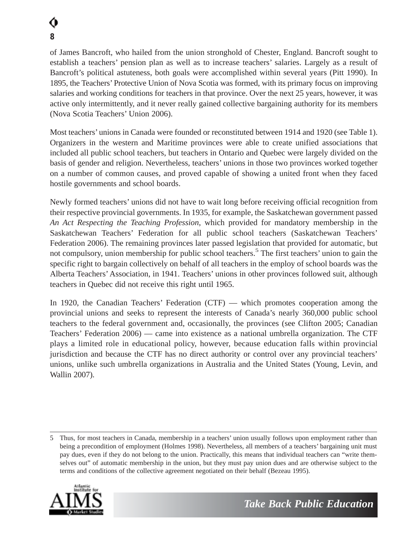of James Bancroft, who hailed from the union stronghold of Chester, England. Bancroft sought to establish a teachers' pension plan as well as to increase teachers' salaries. Largely as a result of Bancroft's political astuteness, both goals were accomplished within several years (Pitt 1990). In 1895, the Teachers' Protective Union of Nova Scotia was formed, with its primary focus on improving salaries and working conditions for teachers in that province. Over the next 25 years, however, it was active only intermittently, and it never really gained collective bargaining authority for its members (Nova Scotia Teachers' Union 2006).

Most teachers' unions in Canada were founded or reconstituted between 1914 and 1920 (see Table 1). Organizers in the western and Maritime provinces were able to create unified associations that included all public school teachers, but teachers in Ontario and Quebec were largely divided on the basis of gender and religion. Nevertheless, teachers' unions in those two provinces worked together on a number of common causes, and proved capable of showing a united front when they faced hostile governments and school boards.

Newly formed teachers' unions did not have to wait long before receiving official recognition from their respective provincial governments. In 1935, for example, the Saskatchewan government passed *An Act Respecting the Teaching Profession*, which provided for mandatory membership in the Saskatchewan Teachers' Federation for all public school teachers (Saskatchewan Teachers' Federation 2006). The remaining provinces later passed legislation that provided for automatic, but not compulsory, union membership for public school teachers.<sup>5</sup> The first teachers' union to gain the specific right to bargain collectively on behalf of all teachers in the employ of school boards was the Alberta Teachers' Association, in 1941. Teachers' unions in other provinces followed suit, although teachers in Quebec did not receive this right until 1965.

In 1920, the Canadian Teachers' Federation (CTF) — which promotes cooperation among the provincial unions and seeks to represent the interests of Canada's nearly 360,000 public school teachers to the federal government and, occasionally, the provinces (see Clifton 2005; Canadian Teachers' Federation 2006) — came into existence as a national umbrella organization. The CTF plays a limited role in educational policy, however, because education falls within provincial jurisdiction and because the CTF has no direct authority or control over any provincial teachers' unions, unlike such umbrella organizations in Australia and the United States (Young, Levin, and Wallin 2007).

<sup>5</sup> Thus, for most teachers in Canada, membership in a teachers' union usually follows upon employment rather than being a precondition of employment (Holmes 1998). Nevertheless, all members of a teachers' bargaining unit must pay dues, even if they do not belong to the union. Practically, this means that individual teachers can "write themselves out" of automatic membership in the union, but they must pay union dues and are otherwise subject to the terms and conditions of the collective agreement negotiated on their behalf (Bezeau 1995).

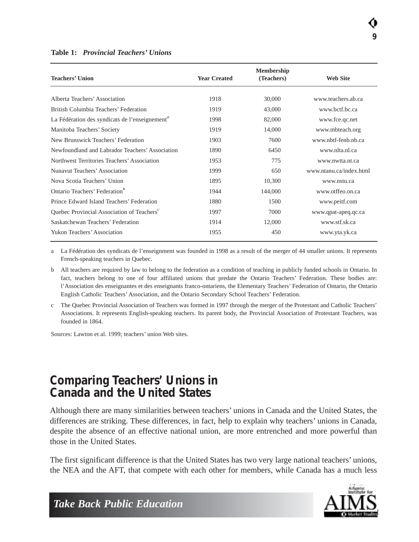| <b>Teachers' Union</b>                                     | <b>Year Created</b> | <b>Membership</b><br>(Teachers) | <b>Web Site</b>         |
|------------------------------------------------------------|---------------------|---------------------------------|-------------------------|
| Alberta Teachers' Association                              | 1918                | 30,000                          | www.teachers.ab.ca      |
| British Columbia Teachers' Federation                      | 1919                | 43,000                          | www.betf.bc.ca          |
| La Fédération des syndicats de l'enseignement <sup>a</sup> | 1998                | 82,000                          | www.fce.qc.net          |
| Manitoba Teachers' Society                                 | 1919                | 14,000                          | www.mbteach.org         |
| New Brunswick Teachers' Federation                         | 1903                | 7600                            | www.nbtf-fenb.nb.ca     |
| Newfoundland and Labrador Teachers' Association            | 1890                | 6450                            | www.nlta.nl.ca          |
| Northwest Territories Teachers' Association                | 1953                | 775                             | www.nwtta.nt.ca         |
| Nunavut Teachers' Association                              | 1999                | 650                             | www.ntanu.ca/index.html |
| Nova Scotia Teachers' Union                                | 1895                | 10,300                          | www.nstu.ca             |
| Ontario Teachers' Federation <sup>b</sup>                  | 1944                | 144,000                         | www.otffeo.on.ca        |
| Prince Edward Island Teachers' Federation                  | 1880                | 1500                            | www.peitf.com           |
| Quebec Provincial Association of Teachers <sup>c</sup>     | 1997                | 7000                            | www.qpat-apeq.qc.ca     |
| Saskatchewan Teachers' Federation                          | 1914                | 12,000                          | www.stf.sk.ca           |
| Yukon Teachers' Association                                | 1955                | 450                             | www.yta.yk.ca           |

#### **Table 1:** *Provincial Teachers' Unions*

a La Fédération des syndicats de l'enseignment was founded in 1998 as a result of the merger of 44 smaller unions. It represents French-speaking teachers in Quebec.

b All teachers are required by law to belong to the federation as a condition of teaching in publicly funded schools in Ontario. In fact, teachers belong to one of four affiliated unions that predate the Ontario Teachers' Federation. These bodies are: l'Association des enseignantes et des enseignants franco-ontariens, the Elementary Teachers' Federation of Ontario, the Ontario English Catholic Teachers' Association, and the Ontario Secondary School Teachers' Federation.

c The Quebec Provincial Association of Teachers was formed in 1997 through the merger of the Protestant and Catholic Teachers' Associations. It represents English-speaking teachers. Its parent body, the Provincial Association of Protestant Teachers, was founded in 1864.

Sources: Lawton et al. 1999; teachers' union Web sites.

#### *Comparing Teachers' Unions in Canada and the United States*

Although there are many similarities between teachers' unions in Canada and the United States, the differences are striking. These differences, in fact, help to explain why teachers' unions in Canada, despite the absence of an effective national union, are more entrenched and more powerful than those in the United States.

The first significant difference is that the United States has two very large national teachers' unions, the NEA and the AFT, that compete with each other for members, while Canada has a much less

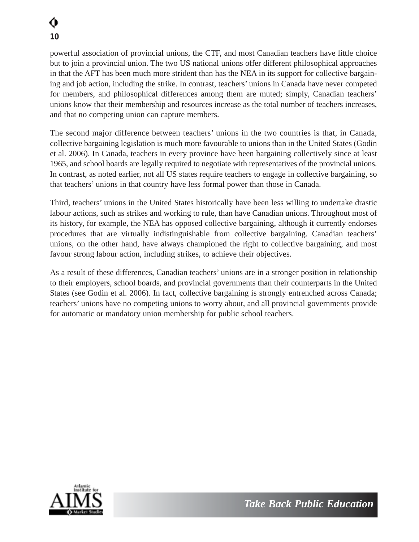powerful association of provincial unions, the CTF, and most Canadian teachers have little choice but to join a provincial union. The two US national unions offer different philosophical approaches in that the AFT has been much more strident than has the NEA in its support for collective bargaining and job action, including the strike. In contrast, teachers' unions in Canada have never competed for members, and philosophical differences among them are muted; simply, Canadian teachers' unions know that their membership and resources increase as the total number of teachers increases, and that no competing union can capture members.

The second major difference between teachers' unions in the two countries is that, in Canada, collective bargaining legislation is much more favourable to unions than in the United States (Godin et al. 2006). In Canada, teachers in every province have been bargaining collectively since at least 1965, and school boards are legally required to negotiate with representatives of the provincial unions. In contrast, as noted earlier, not all US states require teachers to engage in collective bargaining, so that teachers' unions in that country have less formal power than those in Canada.

Third, teachers' unions in the United States historically have been less willing to undertake drastic labour actions, such as strikes and working to rule, than have Canadian unions. Throughout most of its history, for example, the NEA has opposed collective bargaining, although it currently endorses procedures that are virtually indistinguishable from collective bargaining. Canadian teachers' unions, on the other hand, have always championed the right to collective bargaining, and most favour strong labour action, including strikes, to achieve their objectives.

As a result of these differences, Canadian teachers' unions are in a stronger position in relationship to their employers, school boards, and provincial governments than their counterparts in the United States (see Godin et al. 2006). In fact, collective bargaining is strongly entrenched across Canada; teachers' unions have no competing unions to worry about, and all provincial governments provide for automatic or mandatory union membership for public school teachers.

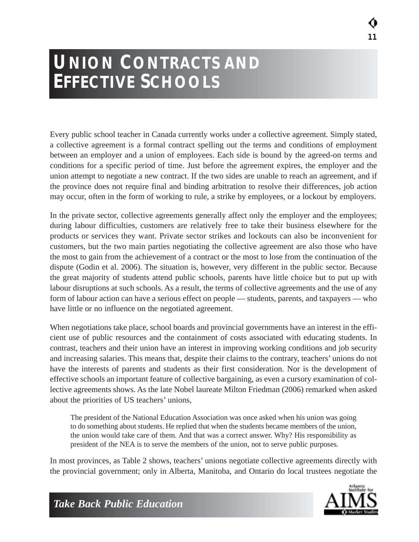## **UNION CONTRACTS AND EFFECTIVE SCHOOLS**

Every public school teacher in Canada currently works under a collective agreement. Simply stated, a collective agreement is a formal contract spelling out the terms and conditions of employment between an employer and a union of employees. Each side is bound by the agreed-on terms and conditions for a specific period of time. Just before the agreement expires, the employer and the union attempt to negotiate a new contract. If the two sides are unable to reach an agreement, and if the province does not require final and binding arbitration to resolve their differences, job action may occur, often in the form of working to rule, a strike by employees, or a lockout by employers.

In the private sector, collective agreements generally affect only the employer and the employees; during labour difficulties, customers are relatively free to take their business elsewhere for the products or services they want. Private sector strikes and lockouts can also be inconvenient for customers, but the two main parties negotiating the collective agreement are also those who have the most to gain from the achievement of a contract or the most to lose from the continuation of the dispute (Godin et al. 2006). The situation is, however, very different in the public sector. Because the great majority of students attend public schools, parents have little choice but to put up with labour disruptions at such schools. As a result, the terms of collective agreements and the use of any form of labour action can have a serious effect on people — students, parents, and taxpayers — who have little or no influence on the negotiated agreement.

When negotiations take place, school boards and provincial governments have an interest in the efficient use of public resources and the containment of costs associated with educating students. In contrast, teachers and their union have an interest in improving working conditions and job security and increasing salaries. This means that, despite their claims to the contrary, teachers' unions do not have the interests of parents and students as their first consideration. Nor is the development of effective schools an important feature of collective bargaining, as even a cursory examination of collective agreements shows. As the late Nobel laureate Milton Friedman (2006) remarked when asked about the priorities of US teachers' unions,

The president of the National Education Association was once asked when his union was going to do something about students. He replied that when the students became members of the union, the union would take care of them. And that was a correct answer. Why? His responsibility as president of the NEA is to serve the members of the union, not to serve public purposes.

In most provinces, as Table 2 shows, teachers' unions negotiate collective agreements directly with the provincial government; only in Alberta, Manitoba, and Ontario do local trustees negotiate the

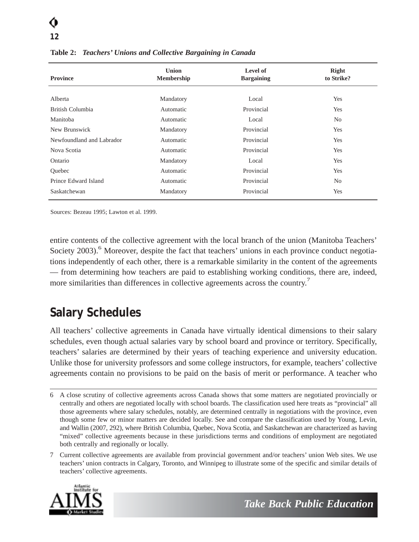# **12**

| <b>Province</b>           | <b>Union</b><br>Membership | Level of<br><b>Bargaining</b> | Right<br>to Strike? |
|---------------------------|----------------------------|-------------------------------|---------------------|
| Alberta                   | Mandatory                  | Local                         | Yes                 |
| British Columbia          | Automatic                  | Provincial                    | Yes                 |
| Manitoba                  | Automatic                  | Local                         | N <sub>0</sub>      |
| New Brunswick             | Mandatory                  | Provincial                    | Yes                 |
| Newfoundland and Labrador | Automatic                  | Provincial                    | Yes                 |
| Nova Scotia               | Automatic                  | Provincial                    | Yes                 |
| Ontario                   | Mandatory                  | Local                         | Yes                 |
| <b>Ouebec</b>             | Automatic                  | Provincial                    | Yes                 |
| Prince Edward Island      | Automatic                  | Provincial                    | N <sub>0</sub>      |
| Saskatchewan              | Mandatory                  | Provincial                    | Yes                 |

**Table 2:** *Teachers' Unions and Collective Bargaining in Canada*

Sources: Bezeau 1995; Lawton et al. 1999.

entire contents of the collective agreement with the local branch of the union (Manitoba Teachers' Society 2003).<sup>6</sup> Moreover, despite the fact that teachers' unions in each province conduct negotiations independently of each other, there is a remarkable similarity in the content of the agreements — from determining how teachers are paid to establishing working conditions, there are, indeed, more similarities than differences in collective agreements across the country.<sup>7</sup>

### *Salary Schedules*

All teachers' collective agreements in Canada have virtually identical dimensions to their salary schedules, even though actual salaries vary by school board and province or territory. Specifically, teachers' salaries are determined by their years of teaching experience and university education. Unlike those for university professors and some college instructors, for example, teachers' collective agreements contain no provisions to be paid on the basis of merit or performance. A teacher who

<sup>7</sup> Current collective agreements are available from provincial government and/or teachers' union Web sites. We use teachers' union contracts in Calgary, Toronto, and Winnipeg to illustrate some of the specific and similar details of teachers' collective agreements.



<sup>6</sup> A close scrutiny of collective agreements across Canada shows that some matters are negotiated provincially or centrally and others are negotiated locally with school boards. The classification used here treats as "provincial" all those agreements where salary schedules, notably, are determined centrally in negotiations with the province, even though some few or minor matters are decided locally. See and compare the classification used by Young, Levin, and Wallin (2007, 292), where British Columbia, Quebec, Nova Scotia, and Saskatchewan are characterized as having "mixed" collective agreements because in these jurisdictions terms and conditions of employment are negotiated both centrally and regionally or locally.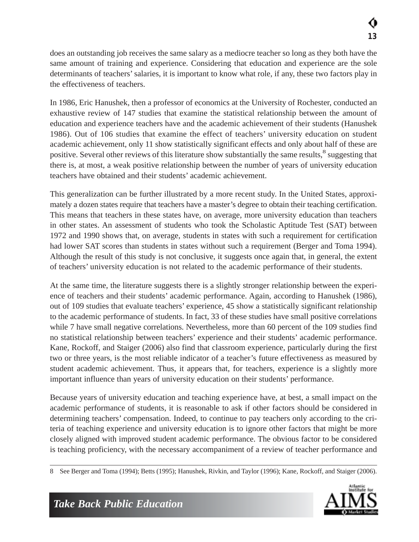does an outstanding job receives the same salary as a mediocre teacher so long as they both have the same amount of training and experience. Considering that education and experience are the sole determinants of teachers' salaries, it is important to know what role, if any, these two factors play in the effectiveness of teachers.

In 1986, Eric Hanushek, then a professor of economics at the University of Rochester, conducted an exhaustive review of 147 studies that examine the statistical relationship between the amount of education and experience teachers have and the academic achievement of their students (Hanushek 1986). Out of 106 studies that examine the effect of teachers' university education on student academic achievement, only 11 show statistically significant effects and only about half of these are positive. Several other reviews of this literature show substantially the same results,<sup>8</sup> suggesting that there is, at most, a weak positive relationship between the number of years of university education teachers have obtained and their students' academic achievement.

This generalization can be further illustrated by a more recent study. In the United States, approximately a dozen states require that teachers have a master's degree to obtain their teaching certification. This means that teachers in these states have, on average, more university education than teachers in other states. An assessment of students who took the Scholastic Aptitude Test (SAT) between 1972 and 1990 shows that, on average, students in states with such a requirement for certification had lower SAT scores than students in states without such a requirement (Berger and Toma 1994). Although the result of this study is not conclusive, it suggests once again that, in general, the extent of teachers' university education is not related to the academic performance of their students.

At the same time, the literature suggests there is a slightly stronger relationship between the experience of teachers and their students' academic performance. Again, according to Hanushek (1986), out of 109 studies that evaluate teachers' experience, 45 show a statistically significant relationship to the academic performance of students. In fact, 33 of these studies have small positive correlations while 7 have small negative correlations. Nevertheless, more than 60 percent of the 109 studies find no statistical relationship between teachers' experience and their students' academic performance. Kane, Rockoff, and Staiger (2006) also find that classroom experience, particularly during the first two or three years, is the most reliable indicator of a teacher's future effectiveness as measured by student academic achievement. Thus, it appears that, for teachers, experience is a slightly more important influence than years of university education on their students' performance.

Because years of university education and teaching experience have, at best, a small impact on the academic performance of students, it is reasonable to ask if other factors should be considered in determining teachers' compensation. Indeed, to continue to pay teachers only according to the criteria of teaching experience and university education is to ignore other factors that might be more closely aligned with improved student academic performance. The obvious factor to be considered is teaching proficiency, with the necessary accompaniment of a review of teacher performance and

<sup>8</sup> See Berger and Toma (1994); Betts (1995); Hanushek, Rivkin, and Taylor (1996); Kane, Rockoff, and Staiger (2006).

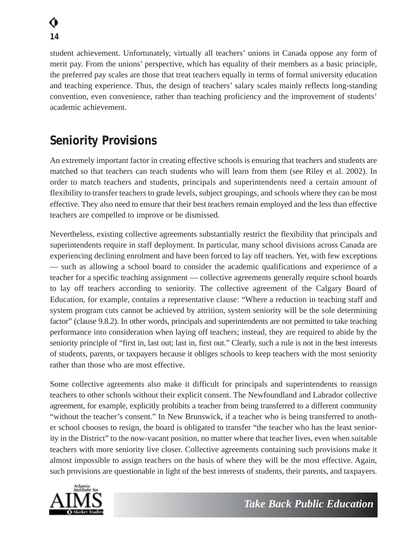student achievement. Unfortunately, virtually all teachers' unions in Canada oppose any form of merit pay. From the unions' perspective, which has equality of their members as a basic principle, the preferred pay scales are those that treat teachers equally in terms of formal university education and teaching experience. Thus, the design of teachers' salary scales mainly reflects long-standing convention, even convenience, rather than teaching proficiency and the improvement of students' academic achievement.

### *Seniority Provisions*

An extremely important factor in creating effective schools is ensuring that teachers and students are matched so that teachers can teach students who will learn from them (see Riley et al. 2002). In order to match teachers and students, principals and superintendents need a certain amount of flexibility to transfer teachers to grade levels, subject groupings, and schools where they can be most effective. They also need to ensure that their best teachers remain employed and the less than effective teachers are compelled to improve or be dismissed.

Nevertheless, existing collective agreements substantially restrict the flexibility that principals and superintendents require in staff deployment. In particular, many school divisions across Canada are experiencing declining enrolment and have been forced to lay off teachers. Yet, with few exceptions — such as allowing a school board to consider the academic qualifications and experience of a teacher for a specific teaching assignment — collective agreements generally require school boards to lay off teachers according to seniority. The collective agreement of the Calgary Board of Education, for example, contains a representative clause: "Where a reduction in teaching staff and system program cuts cannot be achieved by attrition, system seniority will be the sole determining factor" (clause 9.8.2). In other words, principals and superintendents are not permitted to take teaching performance into consideration when laying off teachers; instead, they are required to abide by the seniority principle of "first in, last out; last in, first out." Clearly, such a rule is not in the best interests of students, parents, or taxpayers because it obliges schools to keep teachers with the most seniority rather than those who are most effective.

Some collective agreements also make it difficult for principals and superintendents to reassign teachers to other schools without their explicit consent. The Newfoundland and Labrador collective agreement, for example, explicitly prohibits a teacher from being transferred to a different community "without the teacher's consent." In New Brunswick, if a teacher who is being transferred to another school chooses to resign, the board is obligated to transfer "the teacher who has the least seniority in the District" to the now-vacant position, no matter where that teacher lives, even when suitable teachers with more seniority live closer. Collective agreements containing such provisions make it almost impossible to assign teachers on the basis of where they will be the most effective. Again, such provisions are questionable in light of the best interests of students, their parents, and taxpayers.

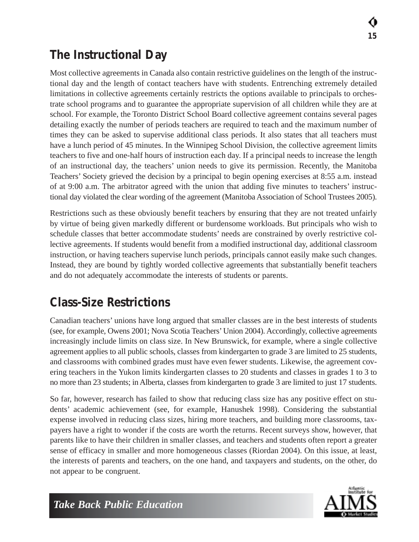### *The Instructional Day*

Most collective agreements in Canada also contain restrictive guidelines on the length of the instructional day and the length of contact teachers have with students. Entrenching extremely detailed limitations in collective agreements certainly restricts the options available to principals to orchestrate school programs and to guarantee the appropriate supervision of all children while they are at school. For example, the Toronto District School Board collective agreement contains several pages detailing exactly the number of periods teachers are required to teach and the maximum number of times they can be asked to supervise additional class periods. It also states that all teachers must have a lunch period of 45 minutes. In the Winnipeg School Division, the collective agreement limits teachers to five and one-half hours of instruction each day. If a principal needs to increase the length of an instructional day, the teachers' union needs to give its permission. Recently, the Manitoba Teachers' Society grieved the decision by a principal to begin opening exercises at 8:55 a.m. instead of at 9:00 a.m. The arbitrator agreed with the union that adding five minutes to teachers' instructional day violated the clear wording of the agreement (Manitoba Association of School Trustees 2005).

Restrictions such as these obviously benefit teachers by ensuring that they are not treated unfairly by virtue of being given markedly different or burdensome workloads. But principals who wish to schedule classes that better accommodate students' needs are constrained by overly restrictive collective agreements. If students would benefit from a modified instructional day, additional classroom instruction, or having teachers supervise lunch periods, principals cannot easily make such changes. Instead, they are bound by tightly worded collective agreements that substantially benefit teachers and do not adequately accommodate the interests of students or parents.

### *Class-Size Restrictions*

Canadian teachers' unions have long argued that smaller classes are in the best interests of students (see, for example, Owens 2001; Nova Scotia Teachers' Union 2004). Accordingly, collective agreements increasingly include limits on class size. In New Brunswick, for example, where a single collective agreement applies to all public schools, classes from kindergarten to grade 3 are limited to 25 students, and classrooms with combined grades must have even fewer students. Likewise, the agreement covering teachers in the Yukon limits kindergarten classes to 20 students and classes in grades 1 to 3 to no more than 23 students; in Alberta, classes from kindergarten to grade 3 are limited to just 17 students.

So far, however, research has failed to show that reducing class size has any positive effect on students' academic achievement (see, for example, Hanushek 1998). Considering the substantial expense involved in reducing class sizes, hiring more teachers, and building more classrooms, taxpayers have a right to wonder if the costs are worth the returns. Recent surveys show, however, that parents like to have their children in smaller classes, and teachers and students often report a greater sense of efficacy in smaller and more homogeneous classes (Riordan 2004). On this issue, at least, the interests of parents and teachers, on the one hand, and taxpayers and students, on the other, do not appear to be congruent.

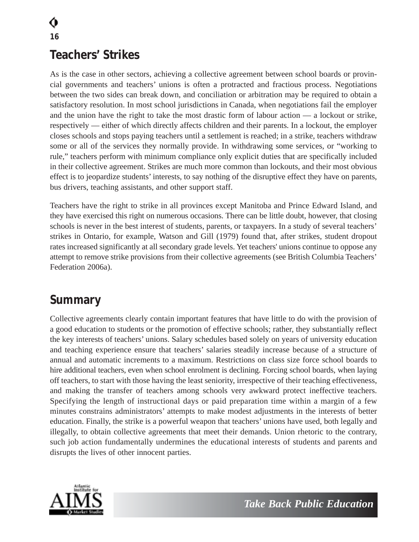### *Teachers' Strikes*

As is the case in other sectors, achieving a collective agreement between school boards or provincial governments and teachers' unions is often a protracted and fractious process. Negotiations between the two sides can break down, and conciliation or arbitration may be required to obtain a satisfactory resolution. In most school jurisdictions in Canada, when negotiations fail the employer and the union have the right to take the most drastic form of labour action — a lockout or strike, respectively — either of which directly affects children and their parents. In a lockout, the employer closes schools and stops paying teachers until a settlement is reached; in a strike, teachers withdraw some or all of the services they normally provide. In withdrawing some services, or "working to rule," teachers perform with minimum compliance only explicit duties that are specifically included in their collective agreement. Strikes are much more common than lockouts, and their most obvious effect is to jeopardize students' interests, to say nothing of the disruptive effect they have on parents, bus drivers, teaching assistants, and other support staff.

Teachers have the right to strike in all provinces except Manitoba and Prince Edward Island, and they have exercised this right on numerous occasions. There can be little doubt, however, that closing schools is never in the best interest of students, parents, or taxpayers. In a study of several teachers' strikes in Ontario, for example, Watson and Gill (1979) found that, after strikes, student dropout rates increased significantly at all secondary grade levels. Yet teachers' unions continue to oppose any attempt to remove strike provisions from their collective agreements (see British Columbia Teachers' Federation 2006a).

#### *Summary*

Collective agreements clearly contain important features that have little to do with the provision of a good education to students or the promotion of effective schools; rather, they substantially reflect the key interests of teachers' unions. Salary schedules based solely on years of university education and teaching experience ensure that teachers' salaries steadily increase because of a structure of annual and automatic increments to a maximum. Restrictions on class size force school boards to hire additional teachers, even when school enrolment is declining. Forcing school boards, when laying off teachers, to start with those having the least seniority, irrespective of their teaching effectiveness, and making the transfer of teachers among schools very awkward protect ineffective teachers. Specifying the length of instructional days or paid preparation time within a margin of a few minutes constrains administrators' attempts to make modest adjustments in the interests of better education. Finally, the strike is a powerful weapon that teachers' unions have used, both legally and illegally, to obtain collective agreements that meet their demands. Union rhetoric to the contrary, such job action fundamentally undermines the educational interests of students and parents and disrupts the lives of other innocent parties.

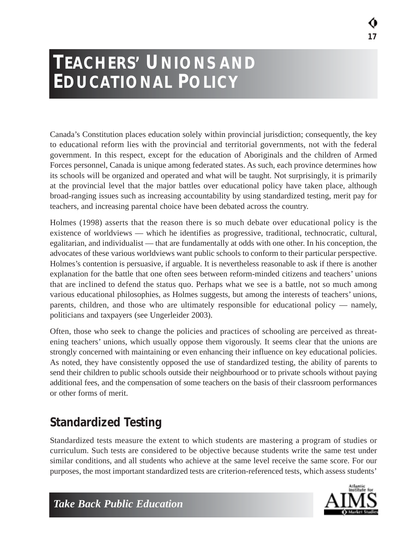**17**

## **TEACHERS' UNIONS AND EDUCATIONAL POLICY**

Canada's Constitution places education solely within provincial jurisdiction; consequently, the key to educational reform lies with the provincial and territorial governments, not with the federal government. In this respect, except for the education of Aboriginals and the children of Armed Forces personnel, Canada is unique among federated states. As such, each province determines how its schools will be organized and operated and what will be taught. Not surprisingly, it is primarily at the provincial level that the major battles over educational policy have taken place, although broad-ranging issues such as increasing accountability by using standardized testing, merit pay for teachers, and increasing parental choice have been debated across the country.

Holmes (1998) asserts that the reason there is so much debate over educational policy is the existence of worldviews — which he identifies as progressive, traditional, technocratic, cultural, egalitarian, and individualist — that are fundamentally at odds with one other. In his conception, the advocates of these various worldviews want public schools to conform to their particular perspective. Holmes's contention is persuasive, if arguable. It is nevertheless reasonable to ask if there is another explanation for the battle that one often sees between reform-minded citizens and teachers' unions that are inclined to defend the status quo. Perhaps what we see is a battle, not so much among various educational philosophies, as Holmes suggests, but among the interests of teachers' unions, parents, children, and those who are ultimately responsible for educational policy — namely, politicians and taxpayers (see Ungerleider 2003).

Often, those who seek to change the policies and practices of schooling are perceived as threatening teachers' unions, which usually oppose them vigorously. It seems clear that the unions are strongly concerned with maintaining or even enhancing their influence on key educational policies. As noted, they have consistently opposed the use of standardized testing, the ability of parents to send their children to public schools outside their neighbourhood or to private schools without paying additional fees, and the compensation of some teachers on the basis of their classroom performances or other forms of merit.

## *Standardized Testing*

Standardized tests measure the extent to which students are mastering a program of studies or curriculum. Such tests are considered to be objective because students write the same test under similar conditions, and all students who achieve at the same level receive the same score. For our purposes, the most important standardized tests are criterion-referenced tests, which assess students'

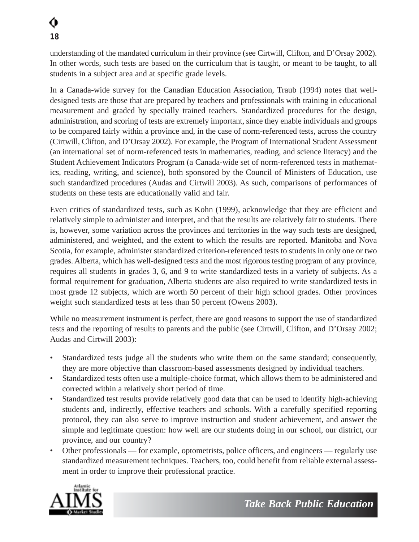understanding of the mandated curriculum in their province (see Cirtwill, Clifton, and D'Orsay 2002). In other words, such tests are based on the curriculum that is taught, or meant to be taught, to all students in a subject area and at specific grade levels.

In a Canada-wide survey for the Canadian Education Association, Traub (1994) notes that welldesigned tests are those that are prepared by teachers and professionals with training in educational measurement and graded by specially trained teachers. Standardized procedures for the design, administration, and scoring of tests are extremely important, since they enable individuals and groups to be compared fairly within a province and, in the case of norm-referenced tests, across the country (Cirtwill, Clifton, and D'Orsay 2002). For example, the Program of International Student Assessment (an international set of norm-referenced tests in mathematics, reading, and science literacy) and the Student Achievement Indicators Program (a Canada-wide set of norm-referenced tests in mathematics, reading, writing, and science), both sponsored by the Council of Ministers of Education, use such standardized procedures (Audas and Cirtwill 2003). As such, comparisons of performances of students on these tests are educationally valid and fair.

Even critics of standardized tests, such as Kohn (1999), acknowledge that they are efficient and relatively simple to administer and interpret, and that the results are relatively fair to students. There is, however, some variation across the provinces and territories in the way such tests are designed, administered, and weighted, and the extent to which the results are reported. Manitoba and Nova Scotia, for example, administer standardized criterion-referenced tests to students in only one or two grades. Alberta, which has well-designed tests and the most rigorous testing program of any province, requires all students in grades 3, 6, and 9 to write standardized tests in a variety of subjects. As a formal requirement for graduation, Alberta students are also required to write standardized tests in most grade 12 subjects, which are worth 50 percent of their high school grades. Other provinces weight such standardized tests at less than 50 percent (Owens 2003).

While no measurement instrument is perfect, there are good reasons to support the use of standardized tests and the reporting of results to parents and the public (see Cirtwill, Clifton, and D'Orsay 2002; Audas and Cirtwill 2003):

- Standardized tests judge all the students who write them on the same standard; consequently, they are more objective than classroom-based assessments designed by individual teachers.
- Standardized tests often use a multiple-choice format, which allows them to be administered and corrected within a relatively short period of time.
- Standardized test results provide relatively good data that can be used to identify high-achieving students and, indirectly, effective teachers and schools. With a carefully specified reporting protocol, they can also serve to improve instruction and student achievement, and answer the simple and legitimate question: how well are our students doing in our school, our district, our province, and our country?
- Other professionals for example, optometrists, police officers, and engineers regularly use standardized measurement techniques. Teachers, too, could benefit from reliable external assessment in order to improve their professional practice.

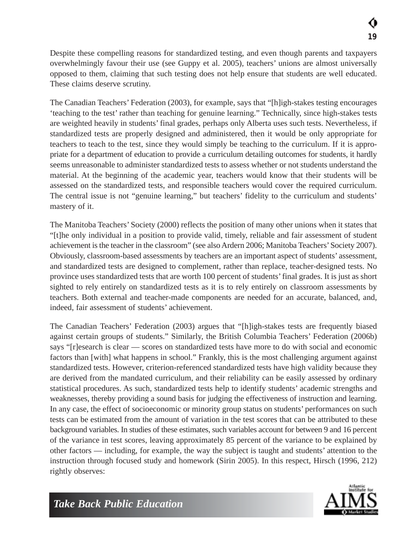Despite these compelling reasons for standardized testing, and even though parents and taxpayers overwhelmingly favour their use (see Guppy et al. 2005), teachers' unions are almost universally opposed to them, claiming that such testing does not help ensure that students are well educated. These claims deserve scrutiny.

The Canadian Teachers' Federation (2003), for example, says that "[h]igh-stakes testing encourages 'teaching to the test' rather than teaching for genuine learning." Technically, since high-stakes tests are weighted heavily in students' final grades, perhaps only Alberta uses such tests. Nevertheless, if standardized tests are properly designed and administered, then it would be only appropriate for teachers to teach to the test, since they would simply be teaching to the curriculum. If it is appropriate for a department of education to provide a curriculum detailing outcomes for students, it hardly seems unreasonable to administer standardized tests to assess whether or not students understand the material. At the beginning of the academic year, teachers would know that their students will be assessed on the standardized tests, and responsible teachers would cover the required curriculum. The central issue is not "genuine learning," but teachers' fidelity to the curriculum and students' mastery of it.

The Manitoba Teachers' Society (2000) reflects the position of many other unions when it states that "[t]he only individual in a position to provide valid, timely, reliable and fair assessment of student achievement is the teacher in the classroom" (see also Ardern 2006; Manitoba Teachers'Society 2007). Obviously, classroom-based assessments by teachers are an important aspect of students' assessment, and standardized tests are designed to complement, rather than replace, teacher-designed tests. No province uses standardized tests that are worth 100 percent of students' final grades. It is just as short sighted to rely entirely on standardized tests as it is to rely entirely on classroom assessments by teachers. Both external and teacher-made components are needed for an accurate, balanced, and, indeed, fair assessment of students' achievement.

The Canadian Teachers' Federation (2003) argues that "[h]igh-stakes tests are frequently biased against certain groups of students." Similarly, the British Columbia Teachers' Federation (2006b) says "[r]esearch is clear — scores on standardized tests have more to do with social and economic factors than [with] what happens in school." Frankly, this is the most challenging argument against standardized tests. However, criterion-referenced standardized tests have high validity because they are derived from the mandated curriculum, and their reliability can be easily assessed by ordinary statistical procedures. As such, standardized tests help to identify students' academic strengths and weaknesses, thereby providing a sound basis for judging the effectiveness of instruction and learning. In any case, the effect of socioeconomic or minority group status on students' performances on such tests can be estimated from the amount of variation in the test scores that can be attributed to these background variables. In studies of these estimates, such variables account for between 9 and 16 percent of the variance in test scores, leaving approximately 85 percent of the variance to be explained by other factors — including, for example, the way the subject is taught and students' attention to the instruction through focused study and homework (Sirin 2005). In this respect, Hirsch (1996, 212) rightly observes:

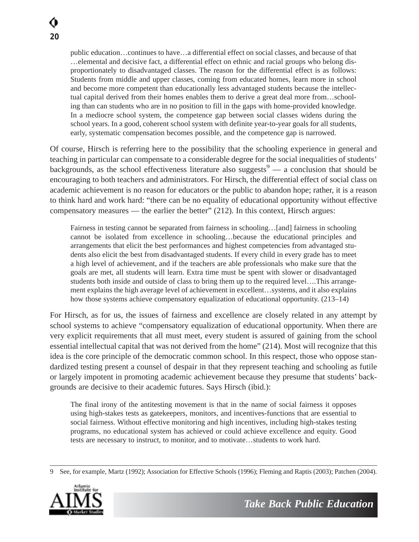public education…continues to have…a differential effect on social classes, and because of that …elemental and decisive fact, a differential effect on ethnic and racial groups who belong disproportionately to disadvantaged classes. The reason for the differential effect is as follows: Students from middle and upper classes, coming from educated homes, learn more in school and become more competent than educationally less advantaged students because the intellectual capital derived from their homes enables them to derive a great deal more from…schooling than can students who are in no position to fill in the gaps with home-provided knowledge. In a mediocre school system, the competence gap between social classes widens during the school years. In a good, coherent school system with definite year-to-year goals for all students, early, systematic compensation becomes possible, and the competence gap is narrowed.

Of course, Hirsch is referring here to the possibility that the schooling experience in general and teaching in particular can compensate to a considerable degree for the social inequalities of students' backgrounds, as the school effectiveness literature also suggests<sup>9</sup> — a conclusion that should be encouraging to both teachers and administrators. For Hirsch, the differential effect of social class on academic achievement is no reason for educators or the public to abandon hope; rather, it is a reason to think hard and work hard: "there can be no equality of educational opportunity without effective compensatory measures — the earlier the better" (212). In this context, Hirsch argues:

Fairness in testing cannot be separated from fairness in schooling…[and] fairness in schooling cannot be isolated from excellence in schooling…because the educational principles and arrangements that elicit the best performances and highest competencies from advantaged students also elicit the best from disadvantaged students. If every child in every grade has to meet a high level of achievement, and if the teachers are able professionals who make sure that the goals are met, all students will learn. Extra time must be spent with slower or disadvantaged students both inside and outside of class to bring them up to the required level….This arrangement explains the high average level of achievement in excellent…systems, and it also explains how those systems achieve compensatory equalization of educational opportunity. (213–14)

For Hirsch, as for us, the issues of fairness and excellence are closely related in any attempt by school systems to achieve "compensatory equalization of educational opportunity. When there are very explicit requirements that all must meet, every student is assured of gaining from the school essential intellectual capital that was not derived from the home" (214). Most will recognize that this idea is the core principle of the democratic common school. In this respect, those who oppose standardized testing present a counsel of despair in that they represent teaching and schooling as futile or largely impotent in promoting academic achievement because they presume that students' backgrounds are decisive to their academic futures. Says Hirsch (ibid.):

The final irony of the antitesting movement is that in the name of social fairness it opposes using high-stakes tests as gatekeepers, monitors, and incentives-functions that are essential to social fairness. Without effective monitoring and high incentives, including high-stakes testing programs, no educational system has achieved or could achieve excellence and equity. Good tests are necessary to instruct, to monitor, and to motivate…students to work hard.

<sup>9</sup> See, for example, Martz (1992); Association for Effective Schools (1996); Fleming and Raptis (2003); Patchen (2004).

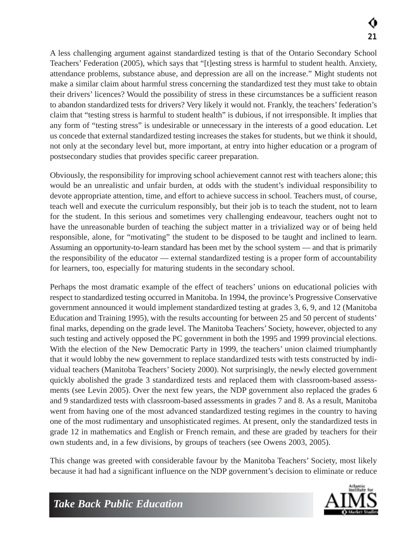A less challenging argument against standardized testing is that of the Ontario Secondary School Teachers' Federation (2005), which says that "[t]esting stress is harmful to student health. Anxiety, attendance problems, substance abuse, and depression are all on the increase." Might students not make a similar claim about harmful stress concerning the standardized test they must take to obtain their drivers' licences? Would the possibility of stress in these circumstances be a sufficient reason to abandon standardized tests for drivers? Very likely it would not. Frankly, the teachers' federation's claim that "testing stress is harmful to student health" is dubious, if not irresponsible. It implies that any form of "testing stress" is undesirable or unnecessary in the interests of a good education. Let us concede that external standardized testing increases the stakes for students, but we think it should, not only at the secondary level but, more important, at entry into higher education or a program of postsecondary studies that provides specific career preparation.

Obviously, the responsibility for improving school achievement cannot rest with teachers alone; this would be an unrealistic and unfair burden, at odds with the student's individual responsibility to devote appropriate attention, time, and effort to achieve success in school. Teachers must, of course, teach well and execute the curriculum responsibly, but their job is to teach the student, not to learn for the student. In this serious and sometimes very challenging endeavour, teachers ought not to have the unreasonable burden of teaching the subject matter in a trivialized way or of being held responsible, alone, for "motivating" the student to be disposed to be taught and inclined to learn. Assuming an opportunity-to-learn standard has been met by the school system — and that is primarily the responsibility of the educator — external standardized testing is a proper form of accountability for learners, too, especially for maturing students in the secondary school.

Perhaps the most dramatic example of the effect of teachers' unions on educational policies with respect to standardized testing occurred in Manitoba. In 1994, the province's Progressive Conservative government announced it would implement standardized testing at grades 3, 6, 9, and 12 (Manitoba Education and Training 1995), with the results accounting for between 25 and 50 percent of students' final marks, depending on the grade level. The Manitoba Teachers' Society, however, objected to any such testing and actively opposed the PC government in both the 1995 and 1999 provincial elections. With the election of the New Democratic Party in 1999, the teachers' union claimed triumphantly that it would lobby the new government to replace standardized tests with tests constructed by individual teachers (Manitoba Teachers' Society 2000). Not surprisingly, the newly elected government quickly abolished the grade 3 standardized tests and replaced them with classroom-based assessments (see Levin 2005). Over the next few years, the NDP government also replaced the grades 6 and 9 standardized tests with classroom-based assessments in grades 7 and 8. As a result, Manitoba went from having one of the most advanced standardized testing regimes in the country to having one of the most rudimentary and unsophisticated regimes. At present, only the standardized tests in grade 12 in mathematics and English or French remain, and these are graded by teachers for their own students and, in a few divisions, by groups of teachers (see Owens 2003, 2005).

This change was greeted with considerable favour by the Manitoba Teachers' Society, most likely because it had had a significant influence on the NDP government's decision to eliminate or reduce

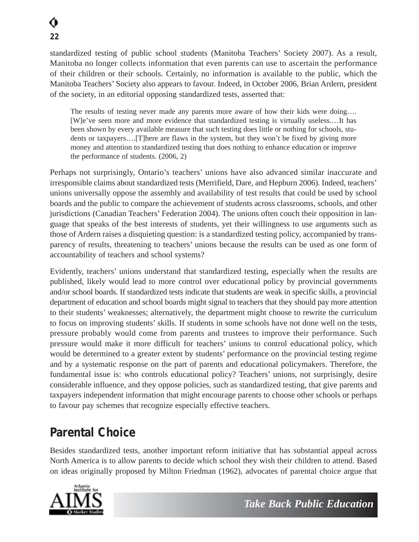standardized testing of public school students (Manitoba Teachers' Society 2007). As a result, Manitoba no longer collects information that even parents can use to ascertain the performance of their children or their schools. Certainly, no information is available to the public, which the Manitoba Teachers' Society also appears to favour. Indeed, in October 2006, Brian Ardern, president of the society, in an editorial opposing standardized tests, asserted that:

The results of testing never made any parents more aware of how their kids were doing…. [W]e've seen more and more evidence that standardized testing is virtually useless.…It has been shown by every available measure that such testing does little or nothing for schools, students or taxpayers….[T]here are flaws in the system, but they won't be fixed by giving more money and attention to standardized testing that does nothing to enhance education or improve the performance of students. (2006, 2)

Perhaps not surprisingly, Ontario's teachers' unions have also advanced similar inaccurate and irresponsible claims about standardized tests (Merrifield, Dare, and Hepburn 2006). Indeed, teachers' unions universally oppose the assembly and availability of test results that could be used by school boards and the public to compare the achievement of students across classrooms, schools, and other jurisdictions (Canadian Teachers' Federation 2004). The unions often couch their opposition in language that speaks of the best interests of students, yet their willingness to use arguments such as those of Ardern raises a disquieting question: is a standardized testing policy, accompanied by transparency of results, threatening to teachers' unions because the results can be used as one form of accountability of teachers and school systems?

Evidently, teachers' unions understand that standardized testing, especially when the results are published, likely would lead to more control over educational policy by provincial governments and/or school boards. If standardized tests indicate that students are weak in specific skills, a provincial department of education and school boards might signal to teachers that they should pay more attention to their students' weaknesses; alternatively, the department might choose to rewrite the curriculum to focus on improving students' skills. If students in some schools have not done well on the tests, pressure probably would come from parents and trustees to improve their performance. Such pressure would make it more difficult for teachers' unions to control educational policy, which would be determined to a greater extent by students' performance on the provincial testing regime and by a systematic response on the part of parents and educational policymakers. Therefore, the fundamental issue is: who controls educational policy? Teachers' unions, not surprisingly, desire considerable influence, and they oppose policies, such as standardized testing, that give parents and taxpayers independent information that might encourage parents to choose other schools or perhaps to favour pay schemes that recognize especially effective teachers.

### *Parental Choice*

Besides standardized tests, another important reform initiative that has substantial appeal across North America is to allow parents to decide which school they wish their children to attend. Based on ideas originally proposed by Milton Friedman (1962), advocates of parental choice argue that

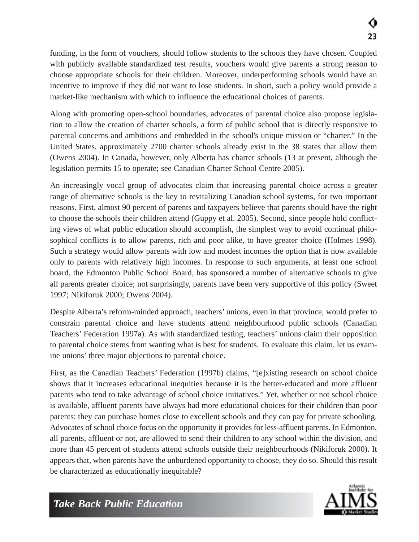funding, in the form of vouchers, should follow students to the schools they have chosen. Coupled with publicly available standardized test results, vouchers would give parents a strong reason to choose appropriate schools for their children. Moreover, underperforming schools would have an incentive to improve if they did not want to lose students. In short, such a policy would provide a market-like mechanism with which to influence the educational choices of parents.

Along with promoting open-school boundaries, advocates of parental choice also propose legislation to allow the creation of charter schools, a form of public school that is directly responsive to parental concerns and ambitions and embedded in the school's unique mission or "charter." In the United States, approximately 2700 charter schools already exist in the 38 states that allow them (Owens 2004). In Canada, however, only Alberta has charter schools (13 at present, although the legislation permits 15 to operate; see Canadian Charter School Centre 2005).

An increasingly vocal group of advocates claim that increasing parental choice across a greater range of alternative schools is the key to revitalizing Canadian school systems, for two important reasons. First, almost 90 percent of parents and taxpayers believe that parents should have the right to choose the schools their children attend (Guppy et al. 2005). Second, since people hold conflicting views of what public education should accomplish, the simplest way to avoid continual philosophical conflicts is to allow parents, rich and poor alike, to have greater choice (Holmes 1998). Such a strategy would allow parents with low and modest incomes the option that is now available only to parents with relatively high incomes. In response to such arguments, at least one school board, the Edmonton Public School Board, has sponsored a number of alternative schools to give all parents greater choice; not surprisingly, parents have been very supportive of this policy (Sweet 1997; Nikiforuk 2000; Owens 2004).

Despite Alberta's reform-minded approach, teachers' unions, even in that province, would prefer to constrain parental choice and have students attend neighbourhood public schools (Canadian Teachers' Federation 1997a). As with standardized testing, teachers' unions claim their opposition to parental choice stems from wanting what is best for students. To evaluate this claim, let us examine unions' three major objections to parental choice.

First, as the Canadian Teachers' Federation (1997b) claims, "[e]xisting research on school choice shows that it increases educational inequities because it is the better-educated and more affluent parents who tend to take advantage of school choice initiatives." Yet, whether or not school choice is available, affluent parents have always had more educational choices for their children than poor parents: they can purchase homes close to excellent schools and they can pay for private schooling. Advocates of school choice focus on the opportunity it provides for less-affluent parents. In Edmonton, all parents, affluent or not, are allowed to send their children to any school within the division, and more than 45 percent of students attend schools outside their neighbourhoods (Nikiforuk 2000). It appears that, when parents have the unburdened opportunity to choose, they do so. Should this result be characterized as educationally inequitable?

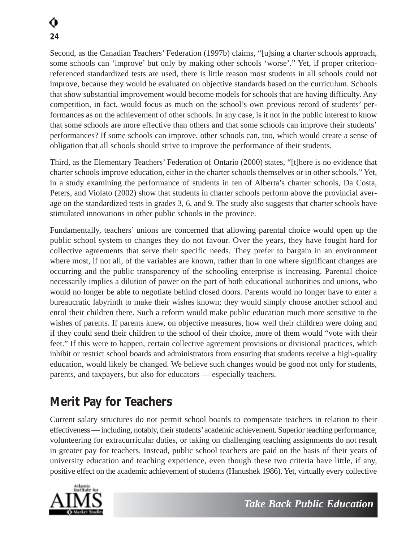Second, as the Canadian Teachers' Federation (1997b) claims, "[u]sing a charter schools approach, some schools can 'improve' but only by making other schools 'worse'." Yet, if proper criterionreferenced standardized tests are used, there is little reason most students in all schools could not improve, because they would be evaluated on objective standards based on the curriculum. Schools that show substantial improvement would become models for schools that are having difficulty. Any competition, in fact, would focus as much on the school's own previous record of students' performances as on the achievement of other schools. In any case, is it not in the public interest to know that some schools are more effective than others and that some schools can improve their students' performances? If some schools can improve, other schools can, too, which would create a sense of obligation that all schools should strive to improve the performance of their students.

Third, as the Elementary Teachers' Federation of Ontario (2000) states, "[t]here is no evidence that charter schools improve education, either in the charter schools themselves or in other schools." Yet, in a study examining the performance of students in ten of Alberta's charter schools, Da Costa, Peters, and Violato (2002) show that students in charter schools perform above the provincial average on the standardized tests in grades 3, 6, and 9. The study also suggests that charter schools have stimulated innovations in other public schools in the province.

Fundamentally, teachers' unions are concerned that allowing parental choice would open up the public school system to changes they do not favour. Over the years, they have fought hard for collective agreements that serve their specific needs. They prefer to bargain in an environment where most, if not all, of the variables are known, rather than in one where significant changes are occurring and the public transparency of the schooling enterprise is increasing. Parental choice necessarily implies a dilution of power on the part of both educational authorities and unions, who would no longer be able to negotiate behind closed doors. Parents would no longer have to enter a bureaucratic labyrinth to make their wishes known; they would simply choose another school and enrol their children there. Such a reform would make public education much more sensitive to the wishes of parents. If parents knew, on objective measures, how well their children were doing and if they could send their children to the school of their choice, more of them would "vote with their feet." If this were to happen, certain collective agreement provisions or divisional practices, which inhibit or restrict school boards and administrators from ensuring that students receive a high-quality education, would likely be changed. We believe such changes would be good not only for students, parents, and taxpayers, but also for educators — especially teachers.

### *Merit Pay for Teachers*

Current salary structures do not permit school boards to compensate teachers in relation to their effectiveness — including, notably, their students'academic achievement. Superior teaching performance, volunteering for extracurricular duties, or taking on challenging teaching assignments do not result in greater pay for teachers. Instead, public school teachers are paid on the basis of their years of university education and teaching experience, even though these two criteria have little, if any, positive effect on the academic achievement of students (Hanushek 1986). Yet, virtually every collective

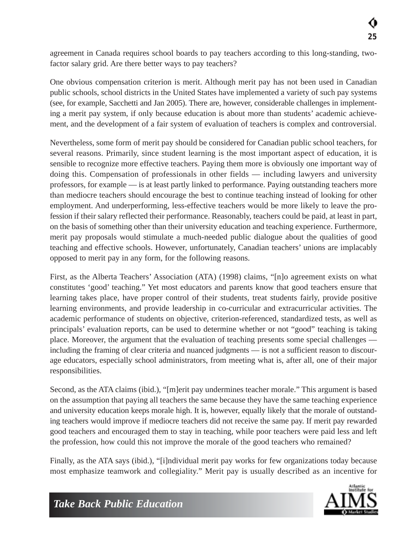agreement in Canada requires school boards to pay teachers according to this long-standing, twofactor salary grid. Are there better ways to pay teachers?

One obvious compensation criterion is merit. Although merit pay has not been used in Canadian public schools, school districts in the United States have implemented a variety of such pay systems (see, for example, Sacchetti and Jan 2005). There are, however, considerable challenges in implementing a merit pay system, if only because education is about more than students' academic achievement, and the development of a fair system of evaluation of teachers is complex and controversial.

Nevertheless, some form of merit pay should be considered for Canadian public school teachers, for several reasons. Primarily, since student learning is the most important aspect of education, it is sensible to recognize more effective teachers. Paying them more is obviously one important way of doing this. Compensation of professionals in other fields — including lawyers and university professors, for example — is at least partly linked to performance. Paying outstanding teachers more than mediocre teachers should encourage the best to continue teaching instead of looking for other employment. And underperforming, less-effective teachers would be more likely to leave the profession if their salary reflected their performance. Reasonably, teachers could be paid, at least in part, on the basis of something other than their university education and teaching experience. Furthermore, merit pay proposals would stimulate a much-needed public dialogue about the qualities of good teaching and effective schools. However, unfortunately, Canadian teachers' unions are implacably opposed to merit pay in any form, for the following reasons.

First, as the Alberta Teachers' Association (ATA) (1998) claims, "[n]o agreement exists on what constitutes 'good' teaching." Yet most educators and parents know that good teachers ensure that learning takes place, have proper control of their students, treat students fairly, provide positive learning environments, and provide leadership in co-curricular and extracurricular activities. The academic performance of students on objective, criterion-referenced, standardized tests, as well as principals' evaluation reports, can be used to determine whether or not "good" teaching is taking place. Moreover, the argument that the evaluation of teaching presents some special challenges including the framing of clear criteria and nuanced judgments — is not a sufficient reason to discourage educators, especially school administrators, from meeting what is, after all, one of their major responsibilities.

Second, as the ATA claims (ibid.), "[m]erit pay undermines teacher morale." This argument is based on the assumption that paying all teachers the same because they have the same teaching experience and university education keeps morale high. It is, however, equally likely that the morale of outstanding teachers would improve if mediocre teachers did not receive the same pay. If merit pay rewarded good teachers and encouraged them to stay in teaching, while poor teachers were paid less and left the profession, how could this not improve the morale of the good teachers who remained?

Finally, as the ATA says (ibid.), "[i]ndividual merit pay works for few organizations today because most emphasize teamwork and collegiality." Merit pay is usually described as an incentive for

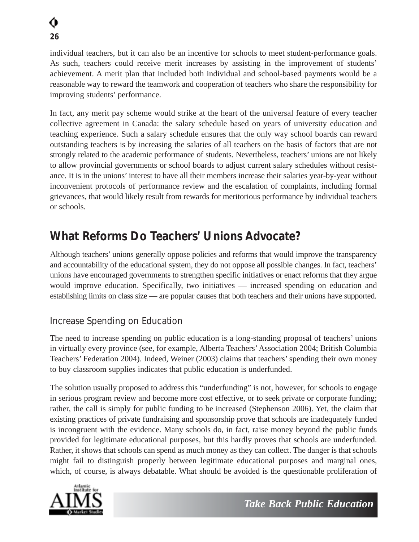individual teachers, but it can also be an incentive for schools to meet student-performance goals. As such, teachers could receive merit increases by assisting in the improvement of students' achievement. A merit plan that included both individual and school-based payments would be a reasonable way to reward the teamwork and cooperation of teachers who share the responsibility for improving students' performance.

In fact, any merit pay scheme would strike at the heart of the universal feature of every teacher collective agreement in Canada: the salary schedule based on years of university education and teaching experience. Such a salary schedule ensures that the only way school boards can reward outstanding teachers is by increasing the salaries of all teachers on the basis of factors that are not strongly related to the academic performance of students. Nevertheless, teachers' unions are not likely to allow provincial governments or school boards to adjust current salary schedules without resistance. It is in the unions' interest to have all their members increase their salaries year-by-year without inconvenient protocols of performance review and the escalation of complaints, including formal grievances, that would likely result from rewards for meritorious performance by individual teachers or schools.

### *What Reforms Do Teachers' Unions Advocate?*

Although teachers' unions generally oppose policies and reforms that would improve the transparency and accountability of the educational system, they do not oppose all possible changes. In fact, teachers' unions have encouraged governments to strengthen specific initiatives or enact reforms that they argue would improve education. Specifically, two initiatives — increased spending on education and establishing limits on class size — are popular causes that both teachers and their unions have supported.

#### Increase Spending on Education

The need to increase spending on public education is a long-standing proposal of teachers' unions in virtually every province (see, for example, Alberta Teachers'Association 2004; British Columbia Teachers' Federation 2004). Indeed, Weiner (2003) claims that teachers' spending their own money to buy classroom supplies indicates that public education is underfunded.

The solution usually proposed to address this "underfunding" is not, however, for schools to engage in serious program review and become more cost effective, or to seek private or corporate funding; rather, the call is simply for public funding to be increased (Stephenson 2006). Yet, the claim that existing practices of private fundraising and sponsorship prove that schools are inadequately funded is incongruent with the evidence. Many schools do, in fact, raise money beyond the public funds provided for legitimate educational purposes, but this hardly proves that schools are underfunded. Rather, it shows that schools can spend as much money as they can collect. The danger is that schools might fail to distinguish properly between legitimate educational purposes and marginal ones, which, of course, is always debatable. What should be avoided is the questionable proliferation of

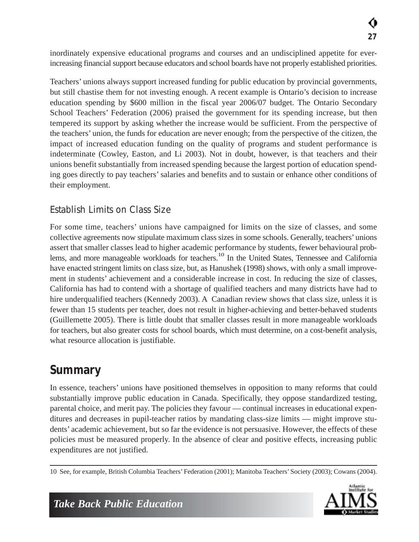inordinately expensive educational programs and courses and an undisciplined appetite for everincreasing financial support because educators and school boards have not properly established priorities.

Teachers' unions always support increased funding for public education by provincial governments, but still chastise them for not investing enough. A recent example is Ontario's decision to increase education spending by \$600 million in the fiscal year 2006/07 budget. The Ontario Secondary School Teachers' Federation (2006) praised the government for its spending increase, but then tempered its support by asking whether the increase would be sufficient. From the perspective of the teachers' union, the funds for education are never enough; from the perspective of the citizen, the impact of increased education funding on the quality of programs and student performance is indeterminate (Cowley, Easton, and Li 2003). Not in doubt, however, is that teachers and their unions benefit substantially from increased spending because the largest portion of education spending goes directly to pay teachers' salaries and benefits and to sustain or enhance other conditions of their employment.

#### Establish Limits on Class Size

For some time, teachers' unions have campaigned for limits on the size of classes, and some collective agreements now stipulate maximum class sizes in some schools. Generally, teachers' unions assert that smaller classes lead to higher academic performance by students, fewer behavioural problems, and more manageable workloads for teachers.<sup>10</sup> In the United States, Tennessee and California have enacted stringent limits on class size, but, as Hanushek (1998) shows, with only a small improvement in students' achievement and a considerable increase in cost. In reducing the size of classes, California has had to contend with a shortage of qualified teachers and many districts have had to hire underqualified teachers (Kennedy 2003). A Canadian review shows that class size, unless it is fewer than 15 students per teacher, does not result in higher-achieving and better-behaved students (Guillemette 2005). There is little doubt that smaller classes result in more manageable workloads for teachers, but also greater costs for school boards, which must determine, on a cost-benefit analysis, what resource allocation is justifiable.

### *Summary*

In essence, teachers' unions have positioned themselves in opposition to many reforms that could substantially improve public education in Canada. Specifically, they oppose standardized testing, parental choice, and merit pay. The policies they favour — continual increases in educational expenditures and decreases in pupil-teacher ratios by mandating class-size limits — might improve students' academic achievement, but so far the evidence is not persuasive. However, the effects of these policies must be measured properly. In the absence of clear and positive effects, increasing public expenditures are not justified.

10 See, for example, British Columbia Teachers' Federation (2001); Manitoba Teachers' Society (2003); Cowans (2004).

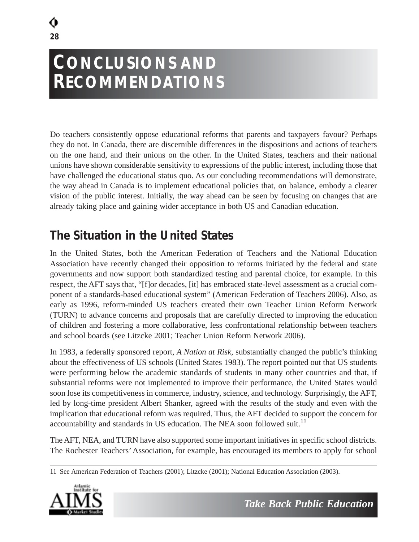## **CONCLUSIONS AND RECOMMENDATIONS**

Do teachers consistently oppose educational reforms that parents and taxpayers favour? Perhaps they do not. In Canada, there are discernible differences in the dispositions and actions of teachers on the one hand, and their unions on the other. In the United States, teachers and their national unions have shown considerable sensitivity to expressions of the public interest, including those that have challenged the educational status quo. As our concluding recommendations will demonstrate, the way ahead in Canada is to implement educational policies that, on balance, embody a clearer vision of the public interest. Initially, the way ahead can be seen by focusing on changes that are already taking place and gaining wider acceptance in both US and Canadian education.

### *The Situation in the United States*

In the United States, both the American Federation of Teachers and the National Education Association have recently changed their opposition to reforms initiated by the federal and state governments and now support both standardized testing and parental choice, for example. In this respect, the AFT says that, "[f]or decades, [it] has embraced state-level assessment as a crucial component of a standards-based educational system" (American Federation of Teachers 2006). Also, as early as 1996, reform-minded US teachers created their own Teacher Union Reform Network (TURN) to advance concerns and proposals that are carefully directed to improving the education of children and fostering a more collaborative, less confrontational relationship between teachers and school boards (see Litzcke 2001; Teacher Union Reform Network 2006).

In 1983, a federally sponsored report, *A Nation at Risk*, substantially changed the public's thinking about the effectiveness of US schools (United States 1983). The report pointed out that US students were performing below the academic standards of students in many other countries and that, if substantial reforms were not implemented to improve their performance, the United States would soon lose its competitiveness in commerce, industry, science, and technology. Surprisingly, the AFT, led by long-time president Albert Shanker, agreed with the results of the study and even with the implication that educational reform was required. Thus, the AFT decided to support the concern for accountability and standards in US education. The NEA soon followed suit.<sup>11</sup>

The AFT, NEA, and TURN have also supported some important initiatives in specific school districts. The Rochester Teachers' Association, for example, has encouraged its members to apply for school

<sup>11</sup> See American Federation of Teachers (2001); Litzcke (2001); National Education Association (2003).

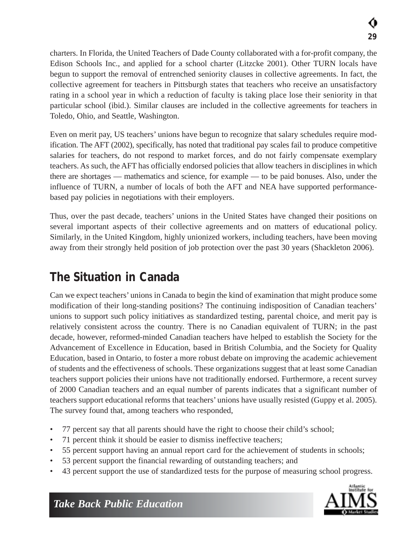charters. In Florida, the United Teachers of Dade County collaborated with a for-profit company, the Edison Schools Inc., and applied for a school charter (Litzcke 2001). Other TURN locals have begun to support the removal of entrenched seniority clauses in collective agreements. In fact, the collective agreement for teachers in Pittsburgh states that teachers who receive an unsatisfactory rating in a school year in which a reduction of faculty is taking place lose their seniority in that particular school (ibid.). Similar clauses are included in the collective agreements for teachers in Toledo, Ohio, and Seattle, Washington.

Even on merit pay, US teachers' unions have begun to recognize that salary schedules require modification. The AFT (2002), specifically, has noted that traditional pay scales fail to produce competitive salaries for teachers, do not respond to market forces, and do not fairly compensate exemplary teachers. As such, the AFT has officially endorsed policies that allow teachers in disciplines in which there are shortages — mathematics and science, for example — to be paid bonuses. Also, under the influence of TURN, a number of locals of both the AFT and NEA have supported performancebased pay policies in negotiations with their employers.

Thus, over the past decade, teachers' unions in the United States have changed their positions on several important aspects of their collective agreements and on matters of educational policy. Similarly, in the United Kingdom, highly unionized workers, including teachers, have been moving away from their strongly held position of job protection over the past 30 years (Shackleton 2006).

### *The Situation in Canada*

Can we expect teachers' unions in Canada to begin the kind of examination that might produce some modification of their long-standing positions? The continuing indisposition of Canadian teachers' unions to support such policy initiatives as standardized testing, parental choice, and merit pay is relatively consistent across the country. There is no Canadian equivalent of TURN; in the past decade, however, reformed-minded Canadian teachers have helped to establish the Society for the Advancement of Excellence in Education, based in British Columbia, and the Society for Quality Education, based in Ontario, to foster a more robust debate on improving the academic achievement of students and the effectiveness of schools. These organizations suggest that at least some Canadian teachers support policies their unions have not traditionally endorsed. Furthermore, a recent survey of 2000 Canadian teachers and an equal number of parents indicates that a significant number of teachers support educational reforms that teachers' unions have usually resisted (Guppy et al. 2005). The survey found that, among teachers who responded,

- 77 percent say that all parents should have the right to choose their child's school;
- 71 percent think it should be easier to dismiss ineffective teachers;
- 55 percent support having an annual report card for the achievement of students in schools;
- 53 percent support the financial rewarding of outstanding teachers; and
- 43 percent support the use of standardized tests for the purpose of measuring school progress.

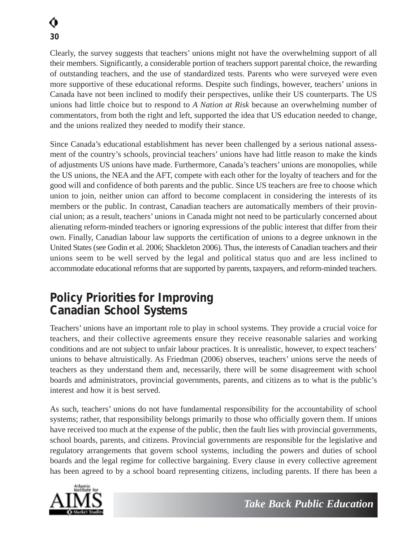Clearly, the survey suggests that teachers' unions might not have the overwhelming support of all their members. Significantly, a considerable portion of teachers support parental choice, the rewarding of outstanding teachers, and the use of standardized tests. Parents who were surveyed were even more supportive of these educational reforms. Despite such findings, however, teachers' unions in Canada have not been inclined to modify their perspectives, unlike their US counterparts. The US unions had little choice but to respond to *A Nation at Risk* because an overwhelming number of commentators, from both the right and left, supported the idea that US education needed to change, and the unions realized they needed to modify their stance.

Since Canada's educational establishment has never been challenged by a serious national assessment of the country's schools, provincial teachers' unions have had little reason to make the kinds of adjustments US unions have made. Furthermore, Canada's teachers' unions are monopolies, while the US unions, the NEA and the AFT, compete with each other for the loyalty of teachers and for the good will and confidence of both parents and the public. Since US teachers are free to choose which union to join, neither union can afford to become complacent in considering the interests of its members or the public. In contrast, Canadian teachers are automatically members of their provincial union; as a result, teachers' unions in Canada might not need to be particularly concerned about alienating reform-minded teachers or ignoring expressions of the public interest that differ from their own. Finally, Canadian labour law supports the certification of unions to a degree unknown in the United States (see Godin et al. 2006; Shackleton 2006). Thus, the interests of Canadian teachers and their unions seem to be well served by the legal and political status quo and are less inclined to accommodate educational reforms that are supported by parents, taxpayers, and reform-minded teachers.

#### *Policy Priorities for Improving Canadian School Systems*

Teachers' unions have an important role to play in school systems. They provide a crucial voice for teachers, and their collective agreements ensure they receive reasonable salaries and working conditions and are not subject to unfair labour practices. It is unrealistic, however, to expect teachers' unions to behave altruistically. As Friedman (2006) observes, teachers' unions serve the needs of teachers as they understand them and, necessarily, there will be some disagreement with school boards and administrators, provincial governments, parents, and citizens as to what is the public's interest and how it is best served.

As such, teachers' unions do not have fundamental responsibility for the accountability of school systems; rather, that responsibility belongs primarily to those who officially govern them. If unions have received too much at the expense of the public, then the fault lies with provincial governments, school boards, parents, and citizens. Provincial governments are responsible for the legislative and regulatory arrangements that govern school systems, including the powers and duties of school boards and the legal regime for collective bargaining. Every clause in every collective agreement has been agreed to by a school board representing citizens, including parents. If there has been a

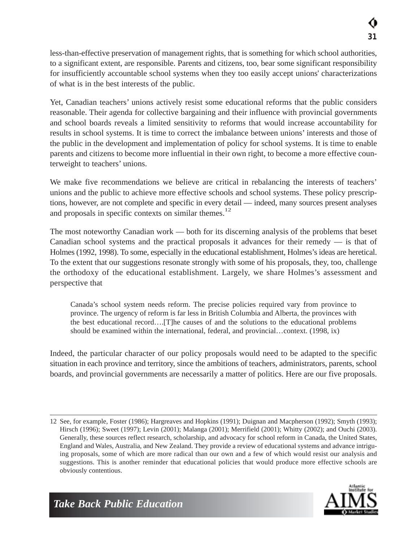less-than-effective preservation of management rights, that is something for which school authorities, to a significant extent, are responsible. Parents and citizens, too, bear some significant responsibility for insufficiently accountable school systems when they too easily accept unions' characterizations of what is in the best interests of the public.

Yet, Canadian teachers' unions actively resist some educational reforms that the public considers reasonable. Their agenda for collective bargaining and their influence with provincial governments and school boards reveals a limited sensitivity to reforms that would increase accountability for results in school systems. It is time to correct the imbalance between unions' interests and those of the public in the development and implementation of policy for school systems. It is time to enable parents and citizens to become more influential in their own right, to become a more effective counterweight to teachers' unions.

We make five recommendations we believe are critical in rebalancing the interests of teachers' unions and the public to achieve more effective schools and school systems. These policy prescriptions, however, are not complete and specific in every detail — indeed, many sources present analyses and proposals in specific contexts on similar themes.<sup>12</sup>

The most noteworthy Canadian work — both for its discerning analysis of the problems that beset Canadian school systems and the practical proposals it advances for their remedy — is that of Holmes (1992, 1998). To some, especially in the educational establishment, Holmes's ideas are heretical. To the extent that our suggestions resonate strongly with some of his proposals, they, too, challenge the orthodoxy of the educational establishment. Largely, we share Holmes's assessment and perspective that

Canada's school system needs reform. The precise policies required vary from province to province. The urgency of reform is far less in British Columbia and Alberta, the provinces with the best educational record….[T]he causes of and the solutions to the educational problems should be examined within the international, federal, and provincial…context. (1998, ix)

Indeed, the particular character of our policy proposals would need to be adapted to the specific situation in each province and territory, since the ambitions of teachers, administrators, parents, school boards, and provincial governments are necessarily a matter of politics. Here are our five proposals.

<sup>12</sup> See, for example, Foster (1986); Hargreaves and Hopkins (1991); Duignan and Macpherson (1992); Smyth (1993); Hirsch (1996); Sweet (1997); Levin (2001); Malanga (2001); Merrifield (2001); Whitty (2002); and Ouchi (2003). Generally, these sources reflect research, scholarship, and advocacy for school reform in Canada, the United States, England and Wales, Australia, and New Zealand. They provide a review of educational systems and advance intriguing proposals, some of which are more radical than our own and a few of which would resist our analysis and suggestions. This is another reminder that educational policies that would produce more effective schools are obviously contentious.

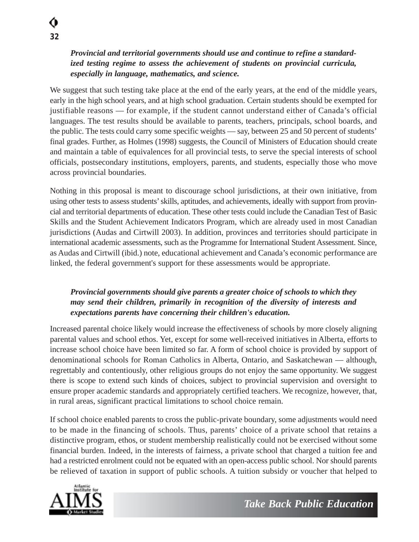#### *Provincial and territorial governments should use and continue to refine a standardized testing regime to assess the achievement of students on provincial curricula, especially in language, mathematics, and science.*

We suggest that such testing take place at the end of the early years, at the end of the middle years, early in the high school years, and at high school graduation. Certain students should be exempted for justifiable reasons — for example, if the student cannot understand either of Canada's official languages. The test results should be available to parents, teachers, principals, school boards, and the public. The tests could carry some specific weights — say, between 25 and 50 percent of students' final grades. Further, as Holmes (1998) suggests, the Council of Ministers of Education should create and maintain a table of equivalences for all provincial tests, to serve the special interests of school officials, postsecondary institutions, employers, parents, and students, especially those who move across provincial boundaries.

Nothing in this proposal is meant to discourage school jurisdictions, at their own initiative, from using other tests to assess students' skills, aptitudes, and achievements, ideally with support from provincial and territorial departments of education. These other tests could include the Canadian Test of Basic Skills and the Student Achievement Indicators Program, which are already used in most Canadian jurisdictions (Audas and Cirtwill 2003). In addition, provinces and territories should participate in international academic assessments, such as the Programme for International Student Assessment. Since, as Audas and Cirtwill (ibid.) note, educational achievement and Canada's economic performance are linked, the federal government's support for these assessments would be appropriate.

#### *Provincial governments should give parents a greater choice of schools to which they may send their children, primarily in recognition of the diversity of interests and expectations parents have concerning their children's education.*

Increased parental choice likely would increase the effectiveness of schools by more closely aligning parental values and school ethos. Yet, except for some well-received initiatives in Alberta, efforts to increase school choice have been limited so far. A form of school choice is provided by support of denominational schools for Roman Catholics in Alberta, Ontario, and Saskatchewan — although, regrettably and contentiously, other religious groups do not enjoy the same opportunity. We suggest there is scope to extend such kinds of choices, subject to provincial supervision and oversight to ensure proper academic standards and appropriately certified teachers. We recognize, however, that, in rural areas, significant practical limitations to school choice remain.

If school choice enabled parents to cross the public-private boundary, some adjustments would need to be made in the financing of schools. Thus, parents' choice of a private school that retains a distinctive program, ethos, or student membership realistically could not be exercised without some financial burden. Indeed, in the interests of fairness, a private school that charged a tuition fee and had a restricted enrolment could not be equated with an open-access public school. Nor should parents be relieved of taxation in support of public schools. A tuition subsidy or voucher that helped to

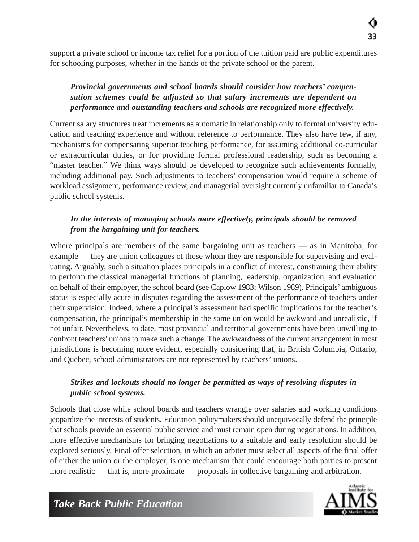support a private school or income tax relief for a portion of the tuition paid are public expenditures for schooling purposes, whether in the hands of the private school or the parent.

#### *Provincial governments and school boards should consider how teachers' compensation schemes could be adjusted so that salary increments are dependent on performance and outstanding teachers and schools are recognized more effectively.*

Current salary structures treat increments as automatic in relationship only to formal university education and teaching experience and without reference to performance. They also have few, if any, mechanisms for compensating superior teaching performance, for assuming additional co-curricular or extracurricular duties, or for providing formal professional leadership, such as becoming a "master teacher." We think ways should be developed to recognize such achievements formally, including additional pay. Such adjustments to teachers' compensation would require a scheme of workload assignment, performance review, and managerial oversight currently unfamiliar to Canada's public school systems.

#### *In the interests of managing schools more effectively, principals should be removed from the bargaining unit for teachers.*

Where principals are members of the same bargaining unit as teachers — as in Manitoba, for example — they are union colleagues of those whom they are responsible for supervising and evaluating. Arguably, such a situation places principals in a conflict of interest, constraining their ability to perform the classical managerial functions of planning, leadership, organization, and evaluation on behalf of their employer, the school board (see Caplow 1983; Wilson 1989). Principals' ambiguous status is especially acute in disputes regarding the assessment of the performance of teachers under their supervision. Indeed, where a principal's assessment had specific implications for the teacher's compensation, the principal's membership in the same union would be awkward and unrealistic, if not unfair. Nevertheless, to date, most provincial and territorial governments have been unwilling to confront teachers' unions to make such a change. The awkwardness of the current arrangement in most jurisdictions is becoming more evident, especially considering that, in British Columbia, Ontario, and Quebec, school administrators are not represented by teachers' unions.

#### *Strikes and lockouts should no longer be permitted as ways of resolving disputes in public school systems.*

Schools that close while school boards and teachers wrangle over salaries and working conditions jeopardize the interests of students. Education policymakers should unequivocally defend the principle that schools provide an essential public service and must remain open during negotiations. In addition, more effective mechanisms for bringing negotiations to a suitable and early resolution should be explored seriously. Final offer selection, in which an arbiter must select all aspects of the final offer of either the union or the employer, is one mechanism that could encourage both parties to present more realistic — that is, more proximate — proposals in collective bargaining and arbitration.

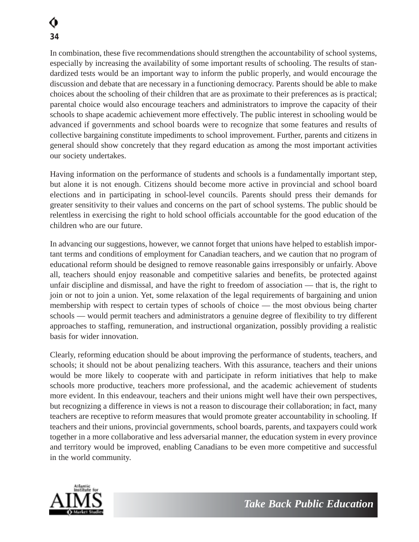In combination, these five recommendations should strengthen the accountability of school systems, especially by increasing the availability of some important results of schooling. The results of standardized tests would be an important way to inform the public properly, and would encourage the discussion and debate that are necessary in a functioning democracy. Parents should be able to make choices about the schooling of their children that are as proximate to their preferences as is practical; parental choice would also encourage teachers and administrators to improve the capacity of their schools to shape academic achievement more effectively. The public interest in schooling would be advanced if governments and school boards were to recognize that some features and results of collective bargaining constitute impediments to school improvement. Further, parents and citizens in general should show concretely that they regard education as among the most important activities our society undertakes.

Having information on the performance of students and schools is a fundamentally important step, but alone it is not enough. Citizens should become more active in provincial and school board elections and in participating in school-level councils. Parents should press their demands for greater sensitivity to their values and concerns on the part of school systems. The public should be relentless in exercising the right to hold school officials accountable for the good education of the children who are our future.

In advancing our suggestions, however, we cannot forget that unions have helped to establish important terms and conditions of employment for Canadian teachers, and we caution that no program of educational reform should be designed to remove reasonable gains irresponsibly or unfairly. Above all, teachers should enjoy reasonable and competitive salaries and benefits, be protected against unfair discipline and dismissal, and have the right to freedom of association — that is, the right to join or not to join a union. Yet, some relaxation of the legal requirements of bargaining and union membership with respect to certain types of schools of choice — the most obvious being charter schools — would permit teachers and administrators a genuine degree of flexibility to try different approaches to staffing, remuneration, and instructional organization, possibly providing a realistic basis for wider innovation.

Clearly, reforming education should be about improving the performance of students, teachers, and schools; it should not be about penalizing teachers. With this assurance, teachers and their unions would be more likely to cooperate with and participate in reform initiatives that help to make schools more productive, teachers more professional, and the academic achievement of students more evident. In this endeavour, teachers and their unions might well have their own perspectives, but recognizing a difference in views is not a reason to discourage their collaboration; in fact, many teachers are receptive to reform measures that would promote greater accountability in schooling. If teachers and their unions, provincial governments, school boards, parents, and taxpayers could work together in a more collaborative and less adversarial manner, the education system in every province and territory would be improved, enabling Canadians to be even more competitive and successful in the world community.

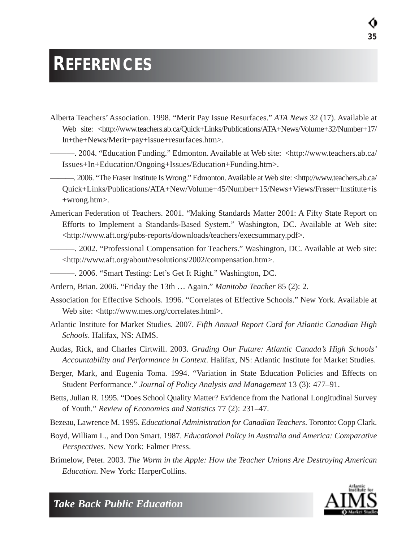## **REFERENCES**

- Alberta Teachers' Association. 1998. "Merit Pay Issue Resurfaces." *ATA News* 32 (17). Available at Web site: <http://www.teachers.ab.ca/Quick+Links/Publications/ATA+News/Volume+32/Number+17/ In+the+News/Merit+pay+issue+resurfaces.htm>.
	- ———. 2004. "Education Funding." Edmonton. Available at Web site: <http://www.teachers.ab.ca/ Issues+In+Education/Ongoing+Issues/Education+Funding.htm>.
	- ———. 2006. "The Fraser Institute Is Wrong." Edmonton. Available at Web site: <http://www.teachers.ab.ca/ Quick+Links/Publications/ATA+New/Volume+45/Number+15/News+Views/Fraser+Institute+is +wrong.htm>.
- American Federation of Teachers. 2001. "Making Standards Matter 2001: A Fifty State Report on Efforts to Implement a Standards-Based System." Washington, DC. Available at Web site: <http://www.aft.org/pubs-reports/downloads/teachers/execsummary.pdf>.
- ———. 2002. "Professional Compensation for Teachers." Washington, DC. Available at Web site: <http://www.aft.org/about/resolutions/2002/compensation.htm>.
- ———. 2006. "Smart Testing: Let's Get It Right." Washington, DC.
- Ardern, Brian. 2006. "Friday the 13th … Again." *Manitoba Teacher* 85 (2): 2.
- Association for Effective Schools. 1996. "Correlates of Effective Schools." New York. Available at Web site: <http://www.mes.org/correlates.html>.
- Atlantic Institute for Market Studies. 2007. *Fifth Annual Report Card for Atlantic Canadian High Schools*. Halifax, NS: AIMS.
- Audas, Rick, and Charles Cirtwill. 2003. *Grading Our Future: Atlantic Canada's High Schools' Accountability and Performance in Context*. Halifax, NS: Atlantic Institute for Market Studies.
- Berger, Mark, and Eugenia Toma. 1994. "Variation in State Education Policies and Effects on Student Performance." *Journal of Policy Analysis and Management* 13 (3): 477–91.
- Betts, Julian R. 1995. "Does School Quality Matter? Evidence from the National Longitudinal Survey of Youth." *Review of Economics and Statistics* 77 (2): 231–47.
- Bezeau, Lawrence M. 1995. *Educational Administration for Canadian Teachers*. Toronto: Copp Clark.
- Boyd, William L., and Don Smart. 1987. *Educational Policy in Australia and America: Comparative Perspectives*. New York: Falmer Press.
- Brimelow, Peter. 2003. *The Worm in the Apple: How the Teacher Unions Are Destroying American Education*. New York: HarperCollins.

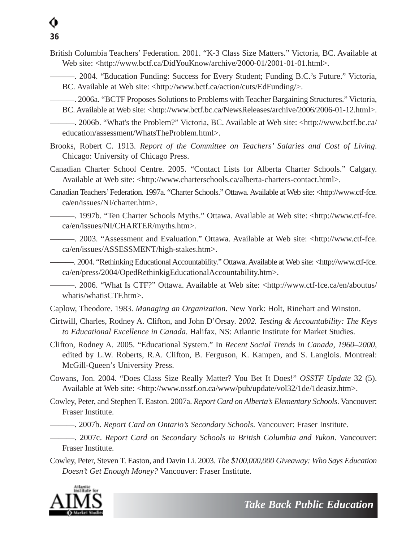- British Columbia Teachers' Federation. 2001. "K-3 Class Size Matters." Victoria, BC. Available at Web site: <http://www.bctf.ca/DidYouKnow/archive/2000-01/2001-01-01.html>.
- ———. 2004. "Education Funding: Success for Every Student; Funding B.C.'s Future." Victoria, BC. Available at Web site: <http://www.bctf.ca/action/cuts/EdFunding/>.
	- ———. 2006a. "BCTF Proposes Solutions to Problems with Teacher Bargaining Structures." Victoria, BC. Available at Web site: <http://www.bctf.bc.ca/NewsReleases/archive/2006/2006-01-12.html>.
	- ———. 2006b. "What's the Problem?" Victoria, BC. Available at Web site: <http://www.bctf.bc.ca/ education/assessment/WhatsTheProblem.html>.
- Brooks, Robert C. 1913. *Report of the Committee on Teachers' Salaries and Cost of Living*. Chicago: University of Chicago Press.
- Canadian Charter School Centre. 2005. "Contact Lists for Alberta Charter Schools." Calgary. Available at Web site: <http://www.charterschools.ca/alberta-charters-contact.html>.
- Canadian Teachers' Federation. 1997a. "Charter Schools." Ottawa. Available at Web site: <http://www.ctf-fce. ca/en/issues/NI/charter.htm>.

———. 1997b. "Ten Charter Schools Myths." Ottawa. Available at Web site: <http://www.ctf-fce. ca/en/issues/NI/CHARTER/myths.htm>.

———. 2003. "Assessment and Evaluation." Ottawa. Available at Web site: <http://www.ctf-fce. ca/en/issues/ASSESSMENT/high-stakes.htm>.

———. 2004. "Rethinking Educational Accountability." Ottawa. Available at Web site: <http://www.ctf-fce. ca/en/press/2004/OpedRethinkigEducationalAccountability.htm>.

———. 2006. "What Is CTF?" Ottawa. Available at Web site: <http://www.ctf-fce.ca/en/aboutus/ whatis/whatisCTF.htm>.

Caplow, Theodore. 1983. *Managing an Organization*. New York: Holt, Rinehart and Winston.

Cirtwill, Charles, Rodney A. Clifton, and John D'Orsay. 2*002. Testing & Accountability: The Keys to Educational Excellence in Canada*. Halifax, NS: Atlantic Institute for Market Studies.

- Clifton, Rodney A. 2005. "Educational System." In *Recent Social Trends in Canada, 1960–2000*, edited by L.W. Roberts, R.A. Clifton, B. Ferguson, K. Kampen, and S. Langlois. Montreal: McGill-Queen's University Press.
- Cowans, Jon. 2004. "Does Class Size Really Matter? You Bet It Does!" *OSSTF Update* 32 (5). Available at Web site: <http://www.osstf.on.ca/www/pub/update/vol32/1de/1deasiz.htm>.
- Cowley, Peter, and Stephen T. Easton. 2007a. *Report Card on Alberta's Elementary Schools*. Vancouver: Fraser Institute.
	- ———. 2007b. *Report Card on Ontario's Secondary Schools*. Vancouver: Fraser Institute.
- ———. 2007c. *Report Card on Secondary Schools in British Columbia and Yukon*. Vancouver: Fraser Institute.
- Cowley, Peter, Steven T. Easton, and Davin Li. 2003. *The \$100,000,000 Giveaway: Who Says Education Doesn't Get Enough Money?* Vancouver: Fraser Institute.

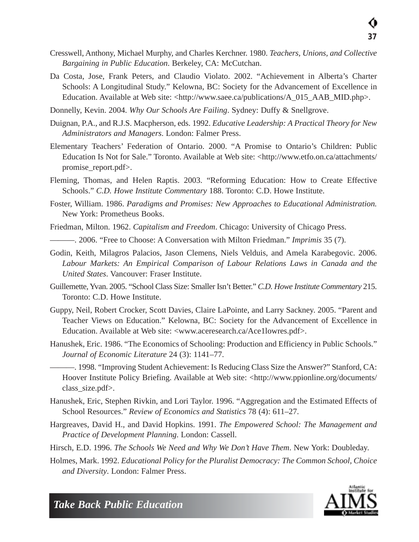- Cresswell, Anthony, Michael Murphy, and Charles Kerchner. 1980. *Teachers, Unions, and Collective Bargaining in Public Education*. Berkeley, CA: McCutchan.
- Da Costa, Jose, Frank Peters, and Claudio Violato. 2002. "Achievement in Alberta's Charter Schools: A Longitudinal Study." Kelowna, BC: Society for the Advancement of Excellence in Education. Available at Web site: <http://www.saee.ca/publications/A\_015\_AAB\_MID.php>.
- Donnelly, Kevin. 2004. *Why Our Schools Are Failing*. Sydney: Duffy & Snellgrove.
- Duignan, P.A., and R.J.S. Macpherson, eds. 1992. *Educative Leadership: A Practical Theory for New Administrators and Managers*. London: Falmer Press.
- Elementary Teachers' Federation of Ontario. 2000. "A Promise to Ontario's Children: Public Education Is Not for Sale." Toronto. Available at Web site: <http://www.etfo.on.ca/attachments/ promise\_report.pdf>.
- Fleming, Thomas, and Helen Raptis. 2003. "Reforming Education: How to Create Effective Schools." *C.D. Howe Institute Commentary* 188. Toronto: C.D. Howe Institute.
- Foster, William. 1986. *Paradigms and Promises: New Approaches to Educational Administration.* New York: Prometheus Books.
- Friedman, Milton. 1962. *Capitalism and Freedom*. Chicago: University of Chicago Press.
	- ———. 2006. "Free to Choose: A Conversation with Milton Friedman." *Imprimis* 35 (7).
- Godin, Keith, Milagros Palacios, Jason Clemens, Niels Velduis, and Amela Karabegovic. 2006. *Labour Markets: An Empirical Comparison of Labour Relations Laws in Canada and the United States*. Vancouver: Fraser Institute.
- Guillemette, Yvan. 2005. "School Class Size: Smaller Isn't Better." *C.D. Howe Institute Commentary* 215. Toronto: C.D. Howe Institute.
- Guppy, Neil, Robert Crocker, Scott Davies, Claire LaPointe, and Larry Sackney. 2005. "Parent and Teacher Views on Education." Kelowna, BC: Society for the Advancement of Excellence in Education. Available at Web site: <www.aceresearch.ca/Ace1lowres.pdf>.
- Hanushek, Eric. 1986. "The Economics of Schooling: Production and Efficiency in Public Schools." *Journal of Economic Literature* 24 (3): 1141–77.
	- ———. 1998. "Improving Student Achievement: Is Reducing Class Size the Answer?" Stanford, CA: Hoover Institute Policy Briefing. Available at Web site: <http://www.ppionline.org/documents/ class\_size.pdf>.
- Hanushek, Eric, Stephen Rivkin, and Lori Taylor. 1996. "Aggregation and the Estimated Effects of School Resources." *Review of Economics and Statistics* 78 (4): 611–27.
- Hargreaves, David H., and David Hopkins. 1991. *The Empowered School: The Management and Practice of Development Planning*. London: Cassell.
- Hirsch, E.D. 1996. *The Schools We Need and Why We Don't Have Them*. New York: Doubleday.
- Holmes, Mark. 1992. *Educational Policy for the Pluralist Democracy: The Common School, Choice and Diversity*. London: Falmer Press.

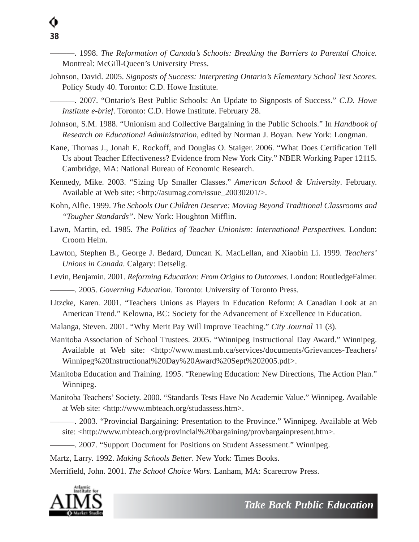———. 1998. *The Reformation of Canada's Schools: Breaking the Barriers to Parental Choice.* Montreal: McGill-Queen's University Press.

Johnson, David. 2005. *Signposts of Success: Interpreting Ontario's Elementary School Test Scores*. Policy Study 40. Toronto: C.D. Howe Institute.

———. 2007. "Ontario's Best Public Schools: An Update to Signposts of Success." *C.D. Howe Institute e-brief*. Toronto: C.D. Howe Institute. February 28.

- Johnson, S.M. 1988. "Unionism and Collective Bargaining in the Public Schools." In *Handbook of Research on Educational Administration*, edited by Norman J. Boyan. New York: Longman.
- Kane, Thomas J., Jonah E. Rockoff, and Douglas O. Staiger. 2006. "What Does Certification Tell Us about Teacher Effectiveness? Evidence from New York City." NBER Working Paper 12115. Cambridge, MA: National Bureau of Economic Research.
- Kennedy, Mike. 2003. "Sizing Up Smaller Classes." *American School & University*. February. Available at Web site: <http://asumag.com/issue\_20030201/>.
- Kohn, Alfie. 1999. *The Schools Our Children Deserve: Moving Beyond Traditional Classrooms and "Tougher Standards"*. New York: Houghton Mifflin.
- Lawn, Martin, ed. 1985. *The Politics of Teacher Unionism: International Perspectives*. London: Croom Helm.
- Lawton, Stephen B., George J. Bedard, Duncan K. MacLellan, and Xiaobin Li. 1999. *Teachers' Unions in Canada*. Calgary: Detselig.

Levin, Benjamin. 2001. *Reforming Education: From Origins to Outcomes*. London: RoutledgeFalmer. ———. 2005. *Governing Education*. Toronto: University of Toronto Press.

- Litzcke, Karen. 2001. "Teachers Unions as Players in Education Reform: A Canadian Look at an American Trend." Kelowna, BC: Society for the Advancement of Excellence in Education.
- Malanga, Steven. 2001. "Why Merit Pay Will Improve Teaching." *City Journal* 11 (3).
- Manitoba Association of School Trustees. 2005. "Winnipeg Instructional Day Award." Winnipeg. Available at Web site: <http://www.mast.mb.ca/services/documents/Grievances-Teachers/ Winnipeg%20Instructional%20Day%20Award%20Sept%202005.pdf>.
- Manitoba Education and Training. 1995. "Renewing Education: New Directions, The Action Plan." Winnipeg.
- Manitoba Teachers' Society. 2000. "Standards Tests Have No Academic Value." Winnipeg. Available at Web site: <http://www.mbteach.org/studassess.htm>.
	- ———. 2003. "Provincial Bargaining: Presentation to the Province." Winnipeg. Available at Web site: <http://www.mbteach.org/provincial%20bargaining/provbargainpresent.htm>.
	- ———. 2007. "Support Document for Positions on Student Assessment." Winnipeg.

Martz, Larry. 1992. *Making Schools Better*. New York: Times Books.

Merrifield, John. 2001. *The School Choice Wars*. Lanham, MA: Scarecrow Press.

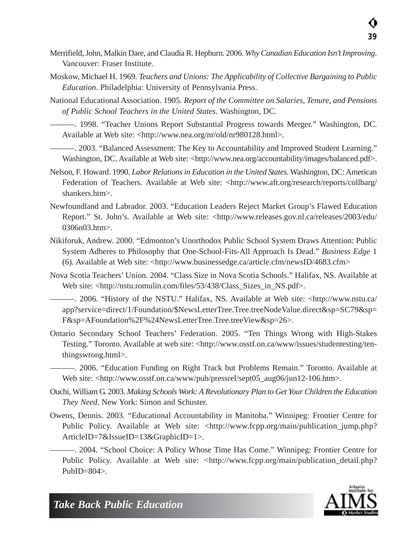- Merrifield, John, Malkin Dare, and Claudia R. Hepburn. 2006. *Why Canadian Education Isn't Improving*. Vancouver: Fraser Institute.
- Moskow, Michael H. 1969. *Teachers and Unions: The Applicability of Collective Bargaining to Public Education*. Philadelphia: University of Pennsylvania Press.
- National Educational Association. 1905. *Report of the Committee on Salaries, Tenure, and Pensions of Public School Teachers in the United States*. Washington, DC.
- ———. 1998. "Teacher Unions Report Substantial Progress towards Merger." Washington, DC. Available at Web site: <http://www.nea.org/nr/old/nr980128.html>.
- ———. 2003. "Balanced Assessment: The Key to Accountability and Improved Student Learning." Washington, DC. Available at Web site: <http://www.nea.org/accountability/images/balanced.pdf>.
- Nelson, F. Howard. 1990. *Labor Relations in Education in the United States*. Washington, DC: American Federation of Teachers. Available at Web site: <http://www.aft.org/research/reports/collbarg/ shankers.htm>.
- Newfoundland and Labrador. 2003. "Education Leaders Reject Market Group's Flawed Education Report." St. John's. Available at Web site: <http://www.releases.gov.nl.ca/releases/2003/edu/ 0306n03.htm>.
- Nikiforuk, Andrew. 2000. "Edmonton's Unorthodox Public School System Draws Attention: Public System Adheres to Philosophy that One-School-Fits-All Approach Is Dead." *Business Edge* 1 (6). Available at Web site:  $\langle \text{http://www.businesedge.ca/article.cfm/newsID/4683.cfm} \rangle$
- Nova Scotia Teachers' Union. 2004. "Class Size in Nova Scotia Schools." Halifax, NS. Available at Web site: <http://nstu.romulin.com/files/53/438/Class\_Sizes\_in\_NS.pdf>.
	- ———. 2006. "History of the NSTU." Halifax, NS. Available at Web site: <http://www.nstu.ca/ app?service=direct/1/Foundation/\$NewsLetterTree.Tree.treeNodeValue.direct&sp=SC79&sp= F&sp=AFoundation%2F%24NewsLetterTree.Tree.treeView&sp=26>.
- Ontario Secondary School Teachers' Federation. 2005. "Ten Things Wrong with High-Stakes Testing." Toronto. Available at web site: <http://www.osstf.on.ca/www/issues/studentesting/tenthingswrong.html>.
	- ———. 2006. "Education Funding on Right Track but Problems Remain." Toronto. Available at Web site: <http://www.osstf.on.ca/www/pub/pressrel/sept05\_aug06/jun12-106.htm>.
- Ouchi, William G. 2003. *Making Schools Work: A Revolutionary Plan to Get Your Children the Education They Need*. New York: Simon and Schuster.
- Owens, Dennis. 2003. "Educational Accountability in Manitoba." Winnipeg: Frontier Centre for Public Policy. Available at Web site: <http://www.fcpp.org/main/publication\_jump.php? ArticleID=7&IssueID=13&GraphicID=1>.

———. 2004. "School Choice: A Policy Whose Time Has Come." Winnipeg: Frontier Centre for Public Policy. Available at Web site: <http://www.fcpp.org/main/publication\_detail.php?  $PubID=804$ .

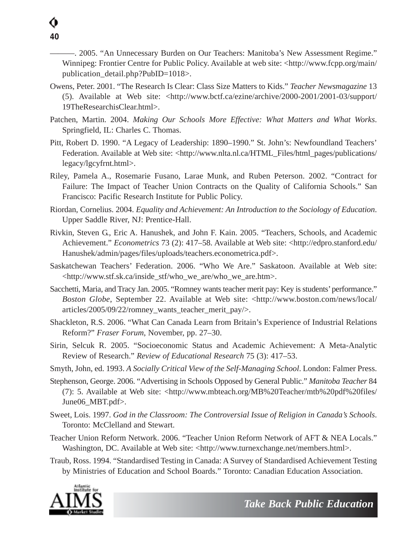———. 2005. "An Unnecessary Burden on Our Teachers: Manitoba's New Assessment Regime." Winnipeg: Frontier Centre for Public Policy. Available at web site: <http://www.fcpp.org/main/ publication\_detail.php?PubID=1018>.

- Owens, Peter. 2001. "The Research Is Clear: Class Size Matters to Kids." *Teacher Newsmagazine* 13 (5). Available at Web site: <http://www.bctf.ca/ezine/archive/2000-2001/2001-03/support/ 19TheResearchisClear.html>.
- Patchen, Martin. 2004. *Making Our Schools More Effective: What Matters and What Works*. Springfield, IL: Charles C. Thomas.
- Pitt, Robert D. 1990. "A Legacy of Leadership: 1890–1990." St. John's: Newfoundland Teachers' Federation. Available at Web site: <http://www.nlta.nl.ca/HTML\_Files/html\_pages/publications/ legacy/lgcyfrnt.html>.
- Riley, Pamela A., Rosemarie Fusano, Larae Munk, and Ruben Peterson. 2002. "Contract for Failure: The Impact of Teacher Union Contracts on the Quality of California Schools." San Francisco: Pacific Research Institute for Public Policy.
- Riordan, Cornelius. 2004. *Equality and Achievement: An Introduction to the Sociology of Education*. Upper Saddle River, NJ: Prentice-Hall.
- Rivkin, Steven G., Eric A. Hanushek, and John F. Kain. 2005. "Teachers, Schools, and Academic Achievement." *Econometrics* 73 (2): 417–58. Available at Web site: <http://edpro.stanford.edu/ Hanushek/admin/pages/files/uploads/teachers.econometrica.pdf>.
- Saskatchewan Teachers' Federation. 2006. "Who We Are." Saskatoon. Available at Web site: <http://www.stf.sk.ca/inside\_stf/who\_we\_are/who\_we\_are.htm>.
- Sacchetti, Maria, and Tracy Jan. 2005. "Romney wants teacher merit pay: Key is students'performance." *Boston Globe*, September 22. Available at Web site: <http://www.boston.com/news/local/ articles/2005/09/22/romney\_wants\_teacher\_merit\_pay/>.
- Shackleton, R.S. 2006. "What Can Canada Learn from Britain's Experience of Industrial Relations Reform?" *Fraser Forum*, November, pp. 27–30.
- Sirin, Selcuk R. 2005. "Socioeconomic Status and Academic Achievement: A Meta-Analytic Review of Research." *Review of Educational Research* 75 (3): 417–53.
- Smyth, John, ed. 1993. *A Socially Critical View of the Self-Managing School*. London: Falmer Press.
- Stephenson, George. 2006. "Advertising in Schools Opposed by General Public." *Manitoba Teacher* 84 (7): 5. Available at Web site: <http://www.mbteach.org/MB%20Teacher/mtb%20pdf%20files/ June06\_MBT.pdf>.
- Sweet, Lois. 1997. *God in the Classroom: The Controversial Issue of Religion in Canada's Schools*. Toronto: McClelland and Stewart.
- Teacher Union Reform Network. 2006. "Teacher Union Reform Network of AFT & NEA Locals." Washington, DC. Available at Web site: <http://www.turnexchange.net/members.html>.
- Traub, Ross. 1994. "Standardised Testing in Canada: A Survey of Standardised Achievement Testing by Ministries of Education and School Boards." Toronto: Canadian Education Association.

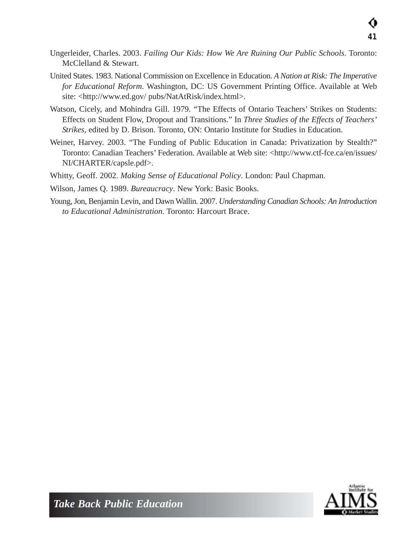- Ungerleider, Charles. 2003. *Failing Our Kids: How We Are Ruining Our Public Schools*. Toronto: McClelland & Stewart.
- United States. 1983. National Commission on Excellence in Education. *A Nation at Risk: The Imperative for Educational Reform*. Washington, DC: US Government Printing Office. Available at Web site: <http://www.ed.gov/ pubs/NatAtRisk/index.html>.
- Watson, Cicely, and Mohindra Gill. 1979. "The Effects of Ontario Teachers' Strikes on Students: Effects on Student Flow, Dropout and Transitions." In *Three Studies of the Effects of Teachers' Strikes*, edited by D. Brison. Toronto, ON: Ontario Institute for Studies in Education.
- Weiner, Harvey. 2003. "The Funding of Public Education in Canada: Privatization by Stealth?" Toronto: Canadian Teachers' Federation. Available at Web site: <http://www.ctf-fce.ca/en/issues/ NI/CHARTER/capsle.pdf>.
- Whitty, Geoff. 2002. *Making Sense of Educational Policy*. London: Paul Chapman.
- Wilson, James Q. 1989. *Bureaucracy*. New York: Basic Books.
- Young, Jon, Benjamin Levin, and Dawn Wallin. 2007. *Understanding Canadian Schools: An Introduction to Educational Administration*. Toronto: Harcourt Brace.

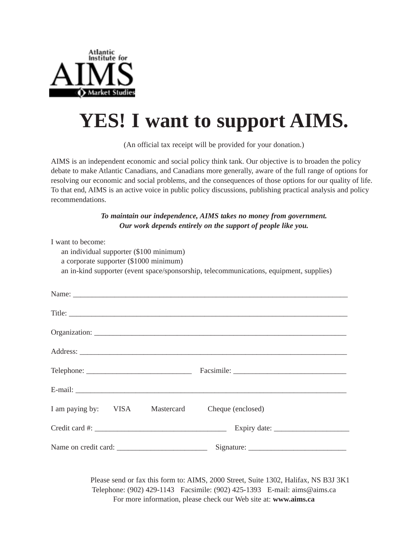

## **YES! I want to support AIMS.**

(An official tax receipt will be provided for your donation.)

AIMS is an independent economic and social policy think tank. Our objective is to broaden the policy debate to make Atlantic Canadians, and Canadians more generally, aware of the full range of options for resolving our economic and social problems, and the consequences of those options for our quality of life. To that end, AIMS is an active voice in public policy discussions, publishing practical analysis and policy recommendations.

> *To maintain our independence, AIMS takes no money from government. Our work depends entirely on the support of people like you.*

| I want to become:<br>an individual supporter (\$100 minimum)<br>a corporate supporter (\$1000 minimum) |  |                                                                 | an in-kind supporter (event space/sponsorship, telecommunications, equipment, supplies) |  |  |
|--------------------------------------------------------------------------------------------------------|--|-----------------------------------------------------------------|-----------------------------------------------------------------------------------------|--|--|
|                                                                                                        |  |                                                                 |                                                                                         |  |  |
|                                                                                                        |  |                                                                 |                                                                                         |  |  |
|                                                                                                        |  |                                                                 |                                                                                         |  |  |
|                                                                                                        |  |                                                                 |                                                                                         |  |  |
|                                                                                                        |  |                                                                 |                                                                                         |  |  |
|                                                                                                        |  |                                                                 |                                                                                         |  |  |
|                                                                                                        |  |                                                                 | I am paying by: VISA Mastercard Cheque (enclosed)                                       |  |  |
|                                                                                                        |  | Expiry date: $\frac{1}{\sqrt{1-\frac{1}{2}} \cdot \frac{1}{2}}$ |                                                                                         |  |  |
|                                                                                                        |  |                                                                 |                                                                                         |  |  |

Please send or fax this form to: AIMS, 2000 Street, Suite 1302, Halifax, NS B3J 3K1 Telephone: (902) 429-1143 Facsimile: (902) 425-1393 E-mail: aims@aims.ca For more information, please check our Web site at: **www.aims.ca**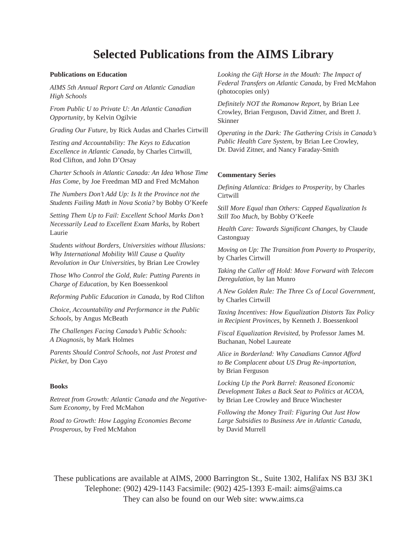#### **Selected Publications from the AIMS Library**

#### **Publications on Education**

*AIMS 5th Annual Report Card on Atlantic Canadian High Schools*

*From Public U to Private U: An Atlantic Canadian Opportunity*, by Kelvin Ogilvie

*Grading Our Future,* by Rick Audas and Charles Cirtwill

*Testing and Accountability: The Keys to Education Excellence in Atlantic Canada,* by Charles Cirtwill, Rod Clifton, and John D'Orsay

*Charter Schools in Atlantic Canada: An Idea Whose Time Has Come*, by Joe Freedman MD and Fred McMahon

*The Numbers Don't Add Up: Is It the Province not the Students Failing Math in Nova Scotia?* by Bobby O'Keefe

*Setting Them Up to Fail: Excellent School Marks Don't Necessarily Lead to Excellent Exam Marks*, by Robert Laurie

*Students without Borders, Universities without Illusions: Why International Mobility Will Cause a Quality Revolution in Our Universities*, by Brian Lee Crowley

*Those Who Control the Gold, Rule: Putting Parents in Charge of Education,* by Ken Boessenkool

*Reforming Public Education in Canada*, by Rod Clifton

*Choice, Accountability and Performance in the Public Schools*, by Angus McBeath

*The Challenges Facing Canada's Public Schools: A Diagnosis,* by Mark Holmes

*Parents Should Control Schools, not Just Protest and Picket*, by Don Cayo

#### **Books**

*Retreat from Growth: Atlantic Canada and the Negative-Sum Economy*, by Fred McMahon

*Road to Growth: How Lagging Economies Become Prosperous*, by Fred McMahon

*Looking the Gift Horse in the Mouth: The Impact of Federal Transfers on Atlantic Canada*, by Fred McMahon (photocopies only)

*Definitely NOT the Romanow Report*, by Brian Lee Crowley, Brian Ferguson, David Zitner, and Brett J. Skinner

*Operating in the Dark: The Gathering Crisis in Canada's Public Health Care System*, by Brian Lee Crowley, Dr. David Zitner, and Nancy Faraday-Smith

#### **Commentary Series**

*Defining Atlantica: Bridges to Prosperity*, by Charles **Cirtwill** 

*Still More Equal than Others: Capped Equalization Is Still Too Much*, by Bobby O'Keefe

*Health Care: Towards Significant Changes*, by Claude Castonguay

*Moving on Up: The Transition from Poverty to Prosperity*, by Charles Cirtwill

*Taking the Caller off Hold: Move Forward with Telecom Deregulation*, by Ian Munro

*A New Golden Rule: The Three Cs of Local Government,* by Charles Cirtwill

*Taxing Incentives: How Equalization Distorts Tax Policy in Recipient Provinces*, by Kenneth J. Boessenkool

*Fiscal Equalization Revisited*, by Professor James M. Buchanan, Nobel Laureate

*Alice in Borderland: Why Canadians Cannot Afford to Be Complacent about US Drug Re-importation*, by Brian Ferguson

*Locking Up the Pork Barrel: Reasoned Economic Development Takes a Back Seat to Politics at ACOA,* by Brian Lee Crowley and Bruce Winchester

*Following the Money Trail: Figuring Out Just How Large Subsidies to Business Are in Atlantic Canada*, by David Murrell

These publications are available at AIMS, 2000 Barrington St., Suite 1302, Halifax NS B3J 3K1 Telephone: (902) 429-1143 Facsimile: (902) 425-1393 E-mail: aims@aims.ca They can also be found on our Web site: www.aims.ca